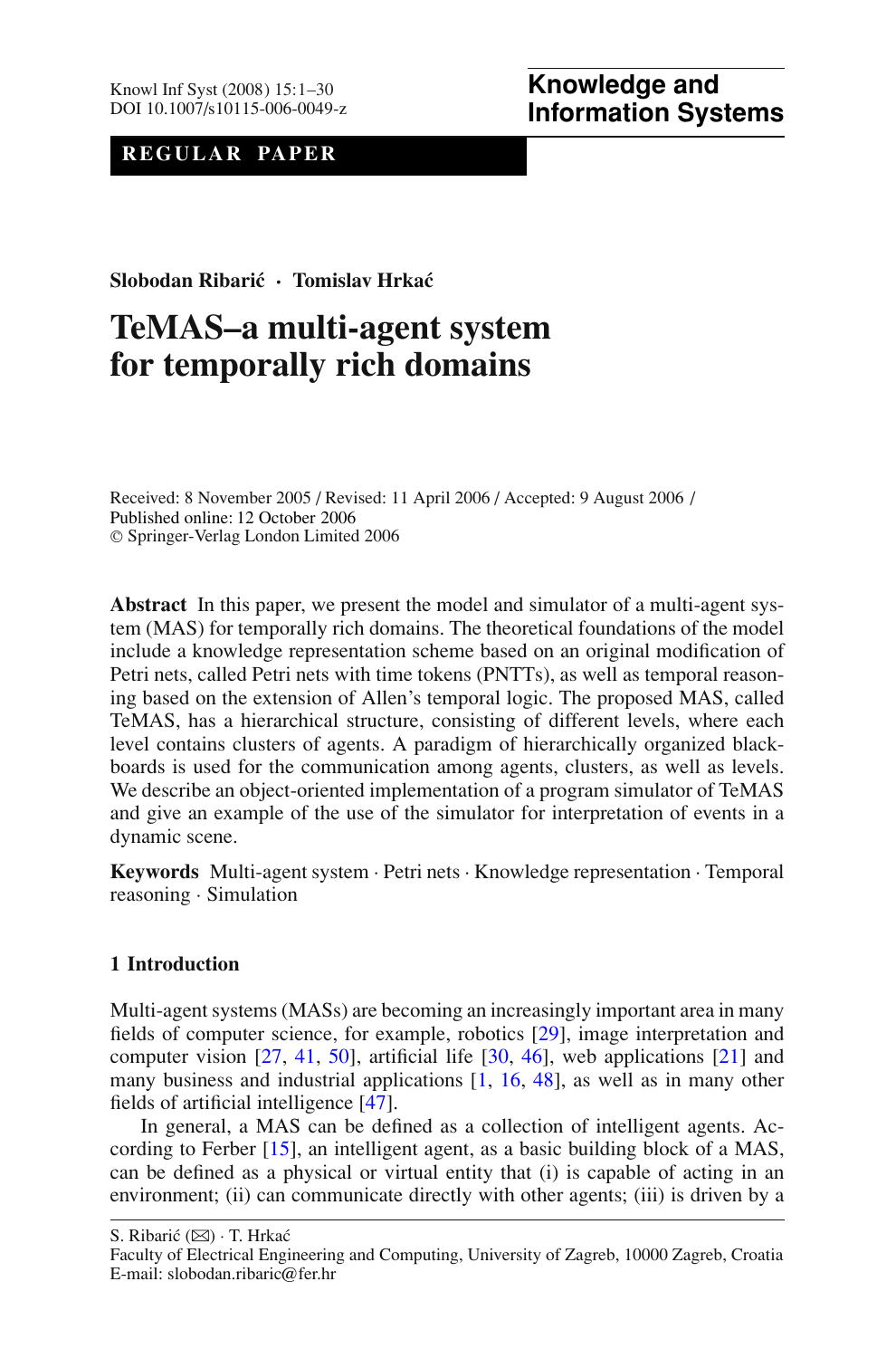# **REGULAR PAPER**

**Slobodan Ribaric´ · Tomislav Hrkac´**

# **TeMAS–a multi-agent system for temporally rich domains**

Received: 8 November 2005 / Revised: 11 April 2006 / Accepted: 9 August 2006 / <sup>C</sup> Springer-Verlag London Limited 2006 Published online: 12 October 2006

**Abstract** In this paper, we present the model and simulator of a multi-agent system (MAS) for temporally rich domains. The theoretical foundations of the model include a knowledge representation scheme based on an original modification of Petri nets, called Petri nets with time tokens (PNTTs), as well as temporal reasoning based on the extension of Allen's temporal logic. The proposed MAS, called TeMAS, has a hierarchical structure, consisting of different levels, where each level contains clusters of agents. A paradigm of hierarchically organized blackboards is used for the communication among agents, clusters, as well as levels. We describe an object-oriented implementation of a program simulator of TeMAS and give an example of the use of the simulator for interpretation of events in a dynamic scene.

**Keywords** Multi-agent system · Petri nets · Knowledge representation · Temporal reasoning · Simulation

## **1 Introduction**

Multi-agent systems (MASs) are becoming an increasingly important area in many fields of computer science, for example, robotics [\[29](#page-27-0)], image interpretation and computer vision [\[27](#page-27-1), [41,](#page-28-0) [50](#page-28-1)], artificial life [\[30,](#page-27-2) [46](#page-28-2)], web applications [\[21\]](#page-27-3) and many business and industrial applications [\[1](#page-26-0), [16,](#page-27-4) [48\]](#page-28-3), as well as in many other fields of artificial intelligence [\[47\]](#page-28-4).

In general, a MAS can be defined as a collection of intelligent agents. According to Ferber [\[15](#page-27-5)], an intelligent agent, as a basic building block of a MAS, can be defined as a physical or virtual entity that (i) is capable of acting in an environment; (ii) can communicate directly with other agents; (iii) is driven by a

S. Ribarić ( $\boxtimes$ ) · T. Hrkać

Faculty of Electrical Engineering and Computing, University of Zagreb, 10000 Zagreb, Croatia E-mail: slobodan.ribaric@fer.hr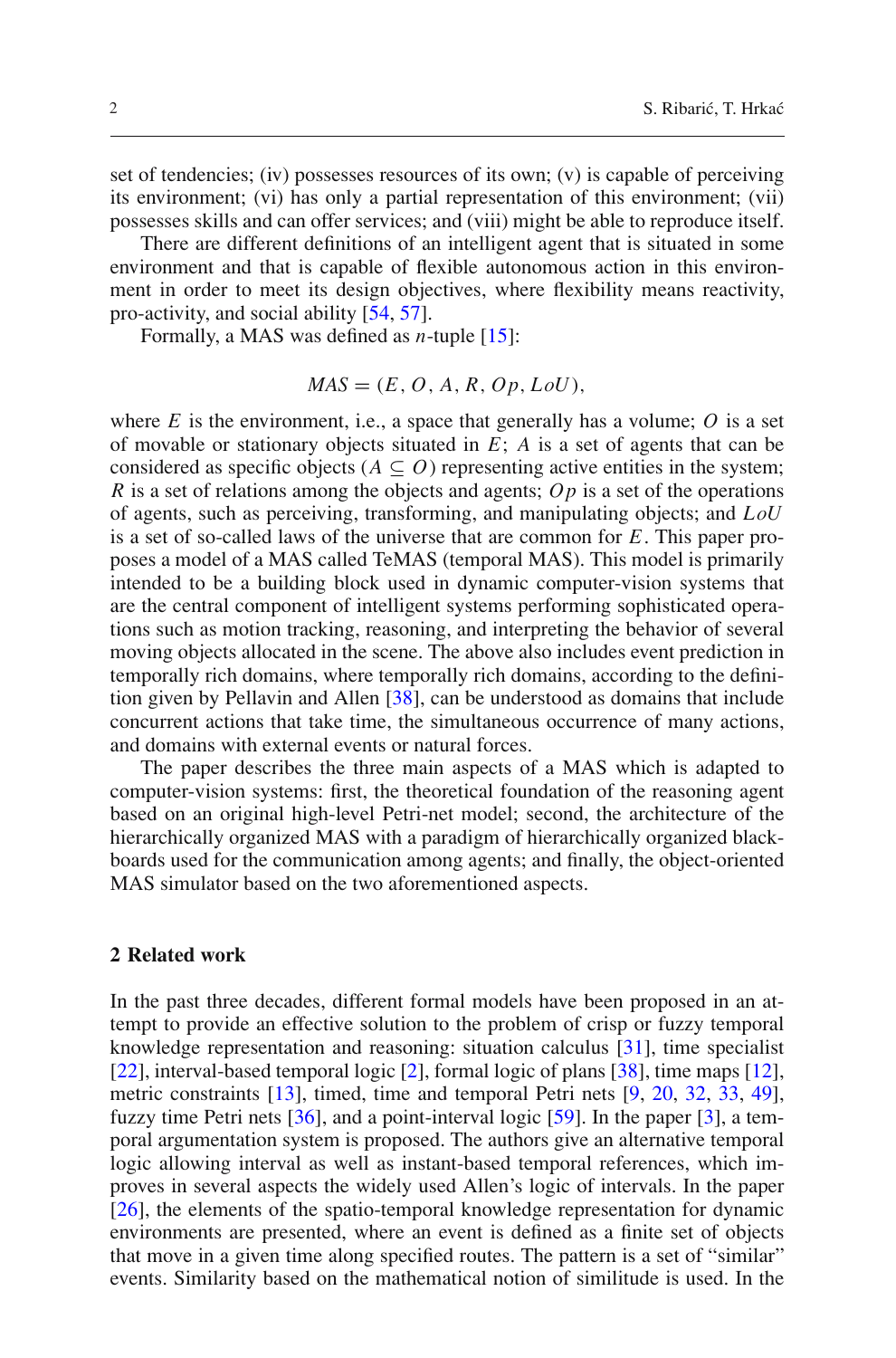set of tendencies; (iv) possesses resources of its own; (v) is capable of perceiving its environment; (vi) has only a partial representation of this environment; (vii) possesses skills and can offer services; and (viii) might be able to reproduce itself.

There are different definitions of an intelligent agent that is situated in some environment and that is capable of flexible autonomous action in this environment in order to meet its design objectives, where flexibility means reactivity, pro-activity, and social ability [\[54](#page-28-5), [57](#page-28-6)].

Formally, a MAS was defined as *n*-tuple [\[15](#page-27-5)]:

$$
MAS = (E, O, A, R, Op, LoU),
$$

where  $E$  is the environment, i.e., a space that generally has a volume;  $O$  is a set of movable or stationary objects situated in *E*; *A* is a set of agents that can be considered as specific objects ( $A \subseteq O$ ) representing active entities in the system; *R* is a set of relations among the objects and agents; *Op* is a set of the operations of agents, such as perceiving, transforming, and manipulating objects; and *LoU* is a set of so-called laws of the universe that are common for *E*. This paper proposes a model of a MAS called TeMAS (temporal MAS). This model is primarily intended to be a building block used in dynamic computer-vision systems that are the central component of intelligent systems performing sophisticated operations such as motion tracking, reasoning, and interpreting the behavior of several moving objects allocated in the scene. The above also includes event prediction in temporally rich domains, where temporally rich domains, according to the definition given by Pellavin and Allen [\[38\]](#page-28-7), can be understood as domains that include concurrent actions that take time, the simultaneous occurrence of many actions, and domains with external events or natural forces.

The paper describes the three main aspects of a MAS which is adapted to computer-vision systems: first, the theoretical foundation of the reasoning agent based on an original high-level Petri-net model; second, the architecture of the hierarchically organized MAS with a paradigm of hierarchically organized blackboards used for the communication among agents; and finally, the object-oriented MAS simulator based on the two aforementioned aspects.

#### **2 Related work**

In the past three decades, different formal models have been proposed in an attempt to provide an effective solution to the problem of crisp or fuzzy temporal knowledge representation and reasoning: situation calculus [\[31\]](#page-27-6), time specialist [\[22\]](#page-27-7), interval-based temporal logic [\[2\]](#page-26-1), formal logic of plans [\[38](#page-28-7)], time maps [\[12\]](#page-27-8), metric constraints [\[13\]](#page-27-9), timed, time and temporal Petri nets [\[9,](#page-27-10) [20](#page-27-11), [32](#page-27-12), [33,](#page-27-13) [49\]](#page-28-8), fuzzy time Petri nets [\[36\]](#page-28-9), and a point-interval logic [\[59\]](#page-28-10). In the paper [\[3](#page-26-2)], a temporal argumentation system is proposed. The authors give an alternative temporal logic allowing interval as well as instant-based temporal references, which improves in several aspects the widely used Allen's logic of intervals. In the paper [\[26\]](#page-27-14), the elements of the spatio-temporal knowledge representation for dynamic environments are presented, where an event is defined as a finite set of objects that move in a given time along specified routes. The pattern is a set of "similar" events. Similarity based on the mathematical notion of similitude is used. In the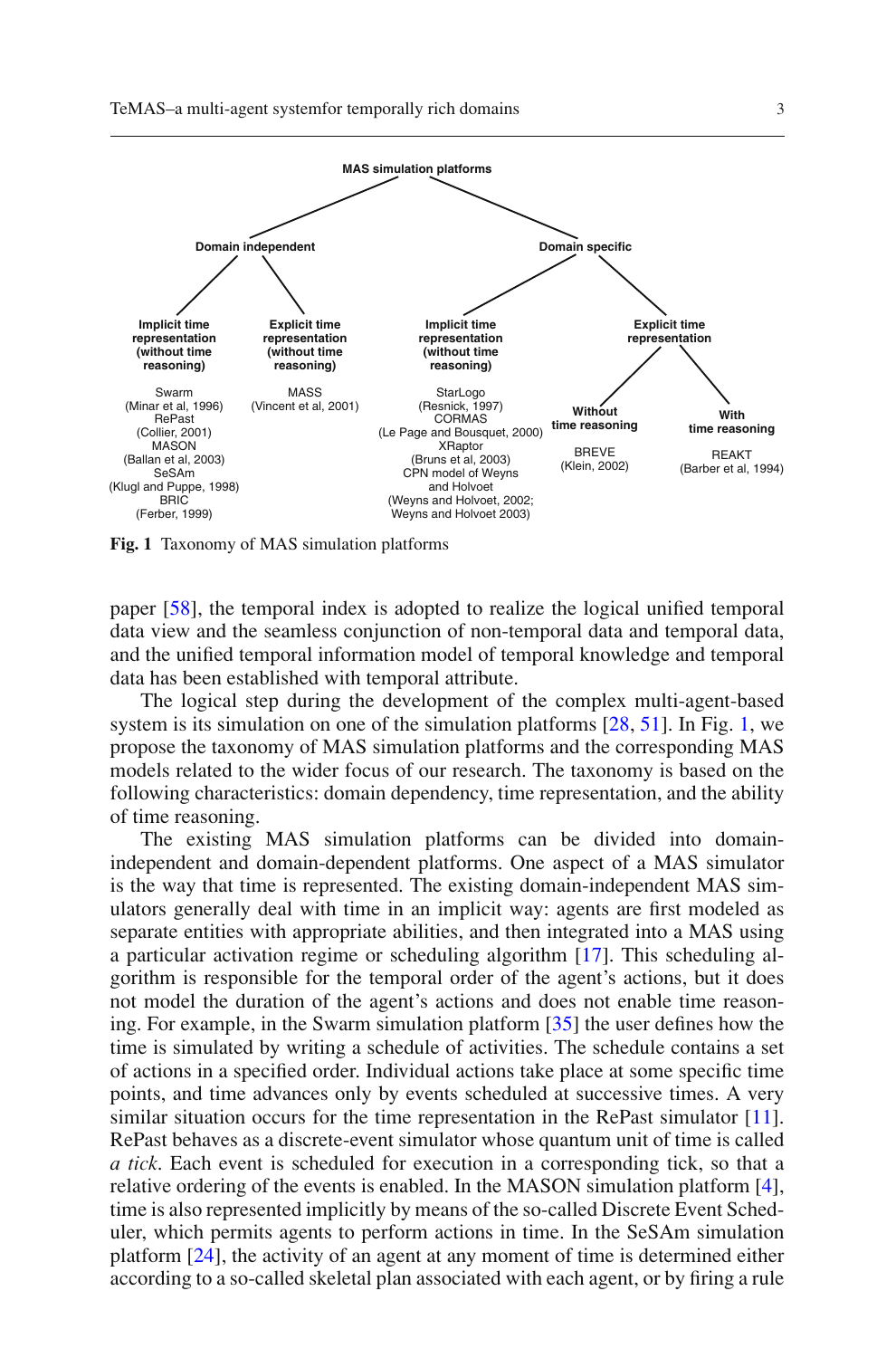

<span id="page-2-0"></span>**Fig. 1** Taxonomy of MAS simulation platforms

paper [\[58](#page-28-11)], the temporal index is adopted to realize the logical unified temporal data view and the seamless conjunction of non-temporal data and temporal data, and the unified temporal information model of temporal knowledge and temporal data has been established with temporal attribute.

The logical step during the development of the complex multi-agent-based system is its simulation on one of the simulation platforms [\[28](#page-27-15), [51](#page-28-12)]. In Fig. [1,](#page-2-0) we propose the taxonomy of MAS simulation platforms and the corresponding MAS models related to the wider focus of our research. The taxonomy is based on the following characteristics: domain dependency, time representation, and the ability of time reasoning.

The existing MAS simulation platforms can be divided into domainindependent and domain-dependent platforms. One aspect of a MAS simulator is the way that time is represented. The existing domain-independent MAS simulators generally deal with time in an implicit way: agents are first modeled as separate entities with appropriate abilities, and then integrated into a MAS using a particular activation regime or scheduling algorithm [\[17](#page-27-16)]. This scheduling algorithm is responsible for the temporal order of the agent's actions, but it does not model the duration of the agent's actions and does not enable time reasoning. For example, in the Swarm simulation platform [\[35](#page-27-17)] the user defines how the time is simulated by writing a schedule of activities. The schedule contains a set of actions in a specified order. Individual actions take place at some specific time points, and time advances only by events scheduled at successive times. A very similar situation occurs for the time representation in the RePast simulator [\[11\]](#page-27-18). RePast behaves as a discrete-event simulator whose quantum unit of time is called *a tick*. Each event is scheduled for execution in a corresponding tick, so that a relative ordering of the events is enabled. In the MASON simulation platform [\[4\]](#page-26-3), time is also represented implicitly by means of the so-called Discrete Event Scheduler, which permits agents to perform actions in time. In the SeSAm simulation platform [\[24](#page-27-19)], the activity of an agent at any moment of time is determined either according to a so-called skeletal plan associated with each agent, or by firing a rule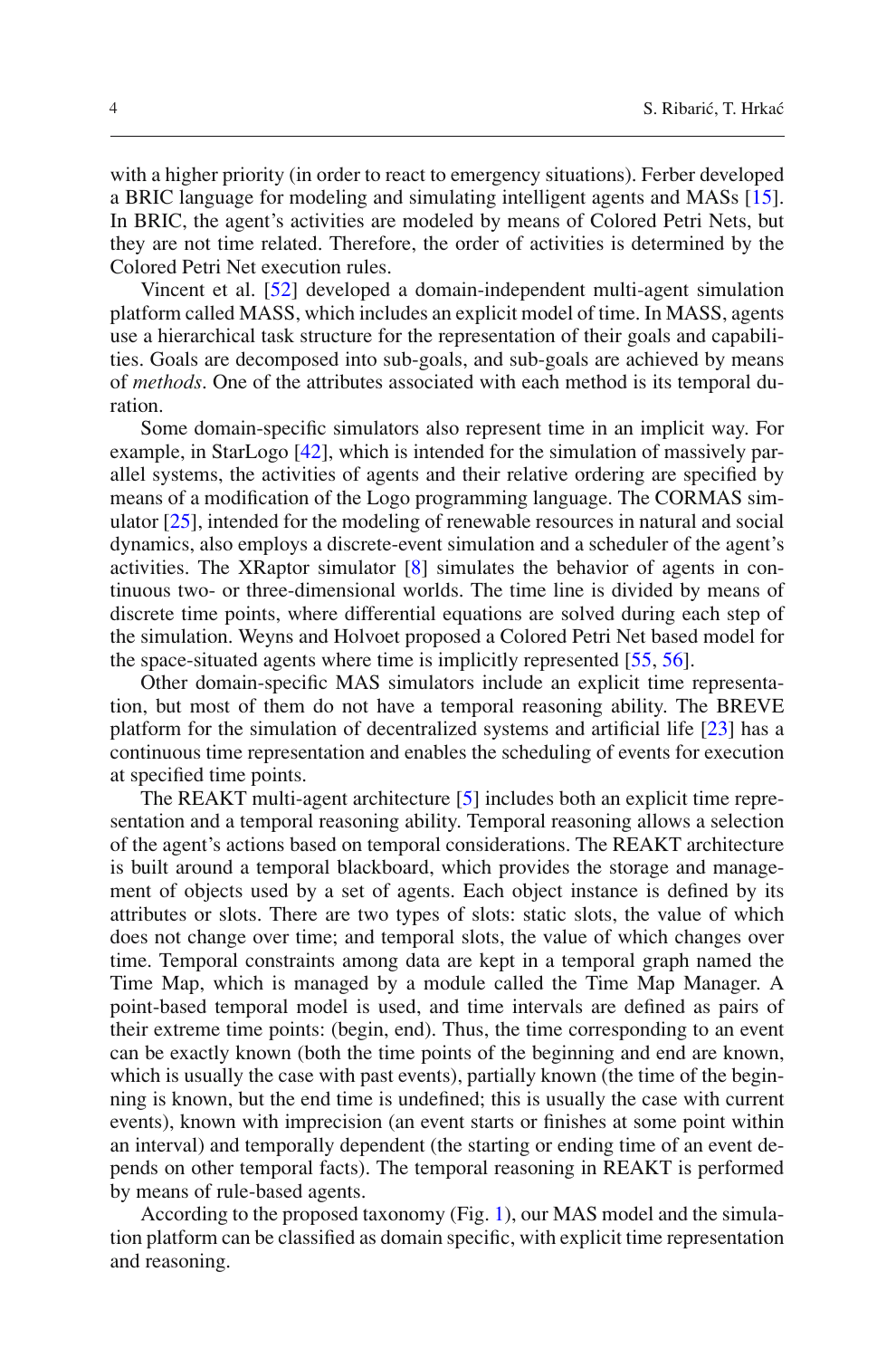with a higher priority (in order to react to emergency situations). Ferber developed a BRIC language for modeling and simulating intelligent agents and MASs [\[15\]](#page-27-5). In BRIC, the agent's activities are modeled by means of Colored Petri Nets, but they are not time related. Therefore, the order of activities is determined by the Colored Petri Net execution rules.

Vincent et al. [\[52\]](#page-28-13) developed a domain-independent multi-agent simulation platform called MASS, which includes an explicit model of time. In MASS, agents use a hierarchical task structure for the representation of their goals and capabilities. Goals are decomposed into sub-goals, and sub-goals are achieved by means of *methods*. One of the attributes associated with each method is its temporal duration.

Some domain-specific simulators also represent time in an implicit way. For example, in StarLogo  $[42]$ , which is intended for the simulation of massively parallel systems, the activities of agents and their relative ordering are specified by means of a modification of the Logo programming language. The CORMAS simulator [\[25\]](#page-27-20), intended for the modeling of renewable resources in natural and social dynamics, also employs a discrete-event simulation and a scheduler of the agent's activities. The XRaptor simulator [\[8\]](#page-26-4) simulates the behavior of agents in continuous two- or three-dimensional worlds. The time line is divided by means of discrete time points, where differential equations are solved during each step of the simulation. Weyns and Holvoet proposed a Colored Petri Net based model for the space-situated agents where time is implicitly represented [\[55,](#page-28-15) [56](#page-28-16)].

Other domain-specific MAS simulators include an explicit time representation, but most of them do not have a temporal reasoning ability. The BREVE platform for the simulation of decentralized systems and artificial life [\[23](#page-27-21)] has a continuous time representation and enables the scheduling of events for execution at specified time points.

The REAKT multi-agent architecture [\[5](#page-26-5)] includes both an explicit time representation and a temporal reasoning ability. Temporal reasoning allows a selection of the agent's actions based on temporal considerations. The REAKT architecture is built around a temporal blackboard, which provides the storage and management of objects used by a set of agents. Each object instance is defined by its attributes or slots. There are two types of slots: static slots, the value of which does not change over time; and temporal slots, the value of which changes over time. Temporal constraints among data are kept in a temporal graph named the Time Map, which is managed by a module called the Time Map Manager. A point-based temporal model is used, and time intervals are defined as pairs of their extreme time points: (begin, end). Thus, the time corresponding to an event can be exactly known (both the time points of the beginning and end are known, which is usually the case with past events), partially known (the time of the beginning is known, but the end time is undefined; this is usually the case with current events), known with imprecision (an event starts or finishes at some point within an interval) and temporally dependent (the starting or ending time of an event depends on other temporal facts). The temporal reasoning in REAKT is performed by means of rule-based agents.

According to the proposed taxonomy (Fig. [1\)](#page-2-0), our MAS model and the simulation platform can be classified as domain specific, with explicit time representation and reasoning.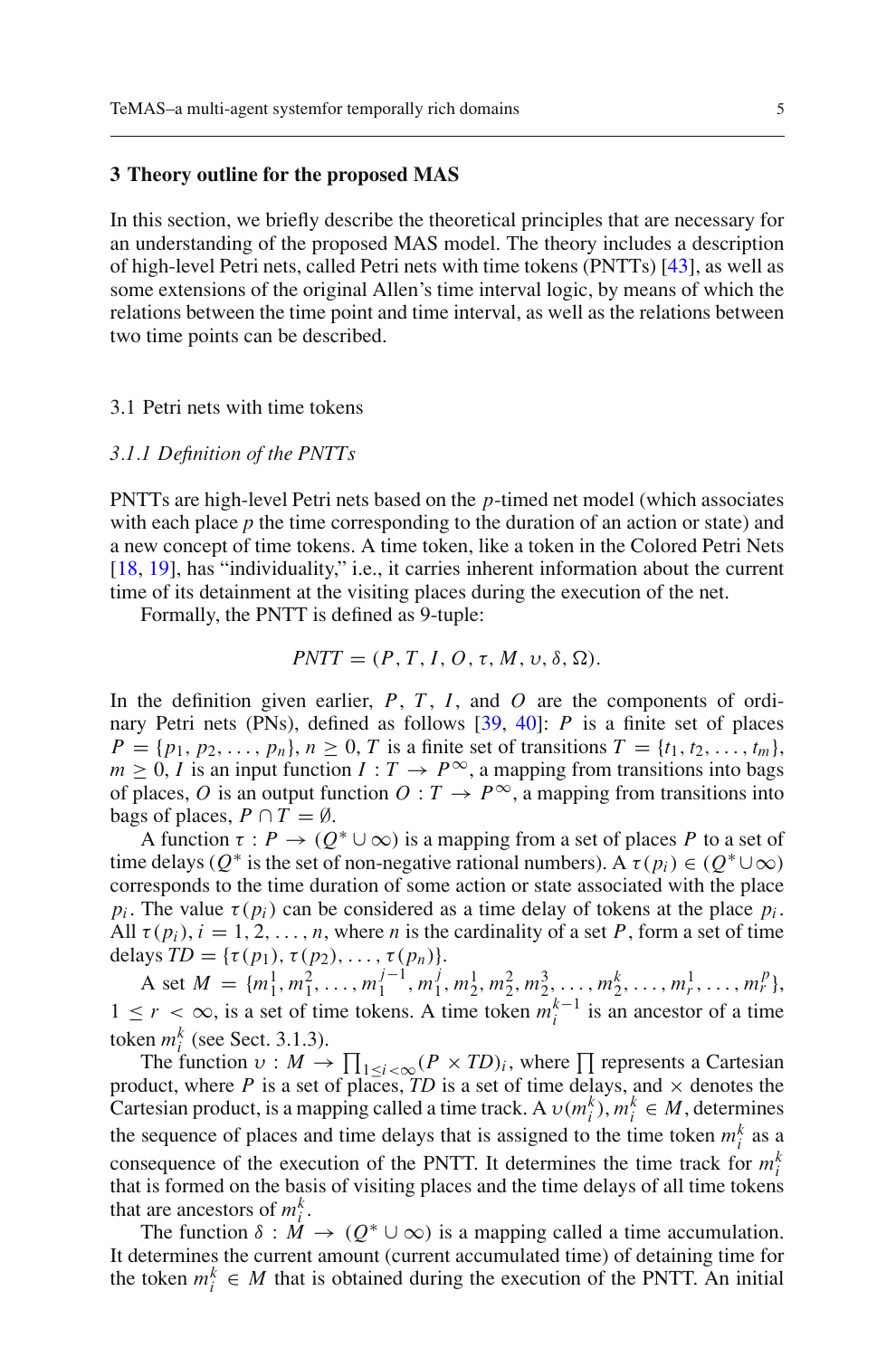#### **3 Theory outline for the proposed MAS**

In this section, we briefly describe the theoretical principles that are necessary for an understanding of the proposed MAS model. The theory includes a description of high-level Petri nets, called Petri nets with time tokens (PNTTs) [\[43\]](#page-28-17), as well as some extensions of the original Allen's time interval logic, by means of which the relations between the time point and time interval, as well as the relations between two time points can be described.

#### 3.1 Petri nets with time tokens

#### *3.1.1 Definition of the PNTTs*

PNTTs are high-level Petri nets based on the *p*-timed net model (which associates with each place *p* the time corresponding to the duration of an action or state) and a new concept of time tokens. A time token, like a token in the Colored Petri Nets [\[18,](#page-27-22) [19](#page-27-23)], has "individuality," i.e., it carries inherent information about the current time of its detainment at the visiting places during the execution of the net.

Formally, the PNTT is defined as 9-tuple:

$$
PNTT = (P, T, I, O, \tau, M, \upsilon, \delta, \Omega).
$$

In the definition given earlier,  $P$ ,  $T$ ,  $I$ , and  $O$  are the components of ordinary Petri nets (PNs), defined as follows [\[39](#page-28-18), [40](#page-28-19)]: *P* is a finite set of places  $P = \{p_1, p_2, \ldots, p_n\}, n \geq 0, T$  is a finite set of transitions  $T = \{t_1, t_2, \ldots, t_m\},$  $m \geq 0$ , *I* is an input function  $I: T \to P^{\infty}$ , a mapping from transitions into bags of places, *O* is an output function  $O: T \to P^{\infty}$ , a mapping from transitions into bags of places,  $P \cap T = \emptyset$ .

A function  $\tau$ :  $P \to (Q^* \cup \infty)$  is a mapping from a set of places P to a set of time delays ( $Q^*$  is the set of non-negative rational numbers). A  $\tau(p_i) \in (Q^* \cup \infty)$ corresponds to the time duration of some action or state associated with the place  $p_i$ . The value  $\tau(p_i)$  can be considered as a time delay of tokens at the place  $p_i$ . All  $\tau(p_i)$ ,  $i = 1, 2, \ldots, n$ , where *n* is the cardinality of a set *P*, form a set of time delays  $TD = {\tau(p_1), \tau(p_2), \ldots, \tau(p_n)}.$ 

A set  $M = \{m_1^1, m_1^2, \ldots, m_1^{j-1}, m_1^j, m_2^1, m_2^2, m_2^3, \ldots, m_2^k, \ldots, m_r^1, \ldots, m_r^p\},\}$ 1 ≤ *r* < ∞, is a set of time tokens. A time token  $m_i^{k-1}$  is an ancestor of a time token  $m_i^k$  (see Sect. 3.1.3).

The function  $v : M \to \prod_{1 \leq i < \infty} (P \times TD)_i$ , where  $\prod$  represents a Cartesian product, where *P* is a set of places, *TD* is a set of time delays, and  $\times$  denotes the Cartesian product, is a mapping called a time track. A  $v(m_i^k)$ ,  $m_i^k \in M$ , determines the sequence of places and time delays that is assigned to the time token  $m_i^k$  as a consequence of the execution of the PNTT. It determines the time track for  $m_i^k$ that is formed on the basis of visiting places and the time delays of all time tokens that are ancestors of  $m_i^k$ .

The function  $\delta : \dot{M} \to (Q^* \cup \infty)$  is a mapping called a time accumulation. It determines the current amount (current accumulated time) of detaining time for the token  $m_i^k \in M$  that is obtained during the execution of the PNTT. An initial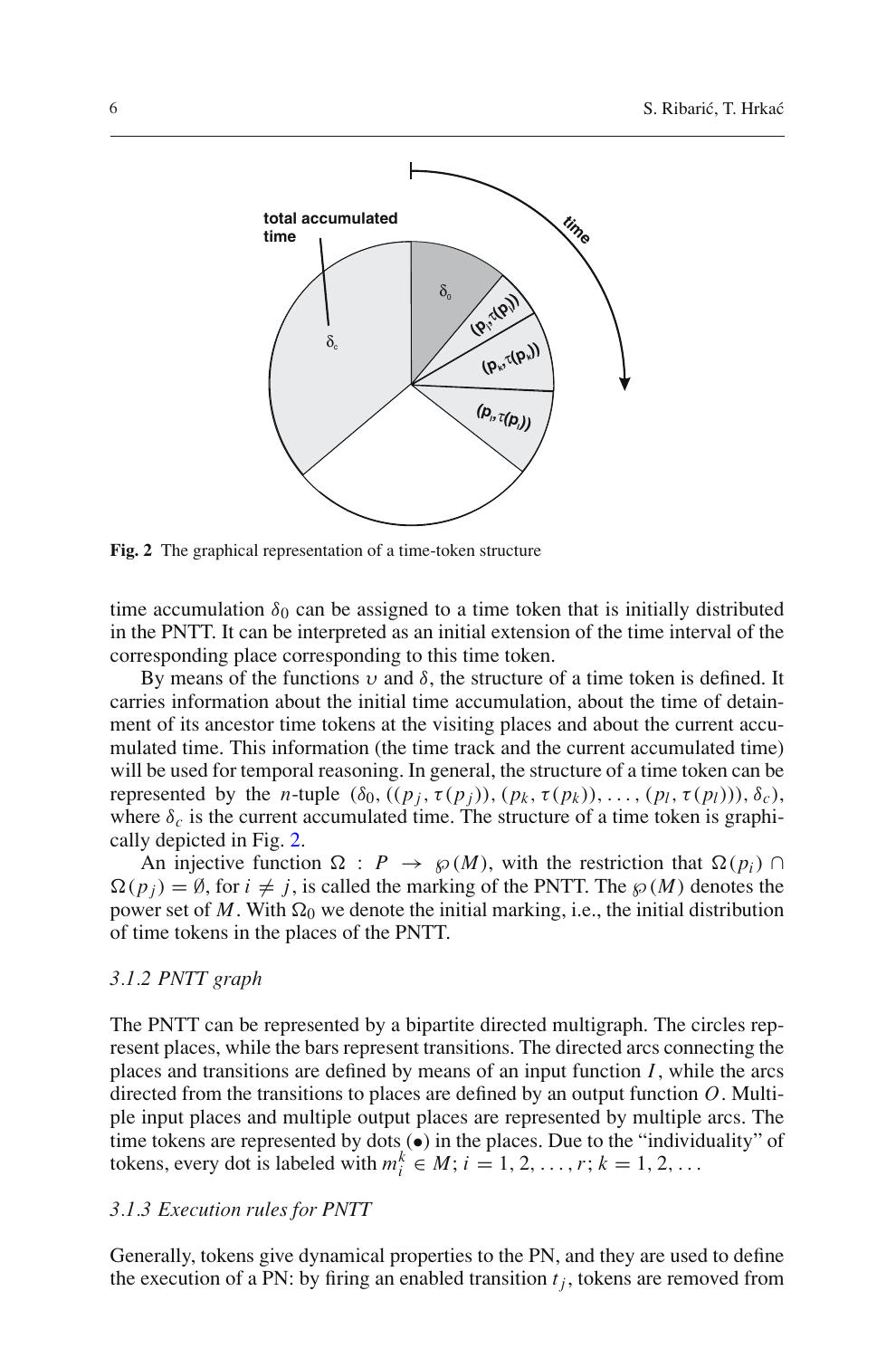

<span id="page-5-0"></span>**Fig. 2** The graphical representation of a time-token structure

time accumulation  $\delta_0$  can be assigned to a time token that is initially distributed in the PNTT. It can be interpreted as an initial extension of the time interval of the corresponding place corresponding to this time token.

By means of the functions  $\nu$  and  $\delta$ , the structure of a time token is defined. It carries information about the initial time accumulation, about the time of detainment of its ancestor time tokens at the visiting places and about the current accumulated time. This information (the time track and the current accumulated time) will be used for temporal reasoning. In general, the structure of a time token can be represented by the *n*-tuple  $(\delta_0, ((p_i, \tau(p_i)), (p_k, \tau(p_k)), \ldots, (p_l, \tau(p_l))), \delta_c)$ , where  $\delta_c$  is the current accumulated time. The structure of a time token is graphically depicted in Fig. [2.](#page-5-0)

An injective function  $\Omega$ : *P*  $\rightarrow \mathcal{P}(M)$ , with the restriction that  $\Omega(p_i)$  $\Omega(p_i) = \emptyset$ , for  $i \neq j$ , is called the marking of the PNTT. The  $\wp(M)$  denotes the power set of M. With  $\Omega_0$  we denote the initial marking, i.e., the initial distribution of time tokens in the places of the PNTT.

#### *3.1.2 PNTT graph*

The PNTT can be represented by a bipartite directed multigraph. The circles represent places, while the bars represent transitions. The directed arcs connecting the places and transitions are defined by means of an input function *I*, while the arcs directed from the transitions to places are defined by an output function *O*. Multiple input places and multiple output places are represented by multiple arcs. The time tokens are represented by dots  $\left( \bullet \right)$  in the places. Due to the "individuality" of tokens, every dot is labeled with  $m_i^k \in M$ ;  $i = 1, 2, ..., r$ ;  $k = 1, 2, ...$ 

#### *3.1.3 Execution rules for PNTT*

Generally, tokens give dynamical properties to the PN, and they are used to define the execution of a PN: by firing an enabled transition  $t_j$ , tokens are removed from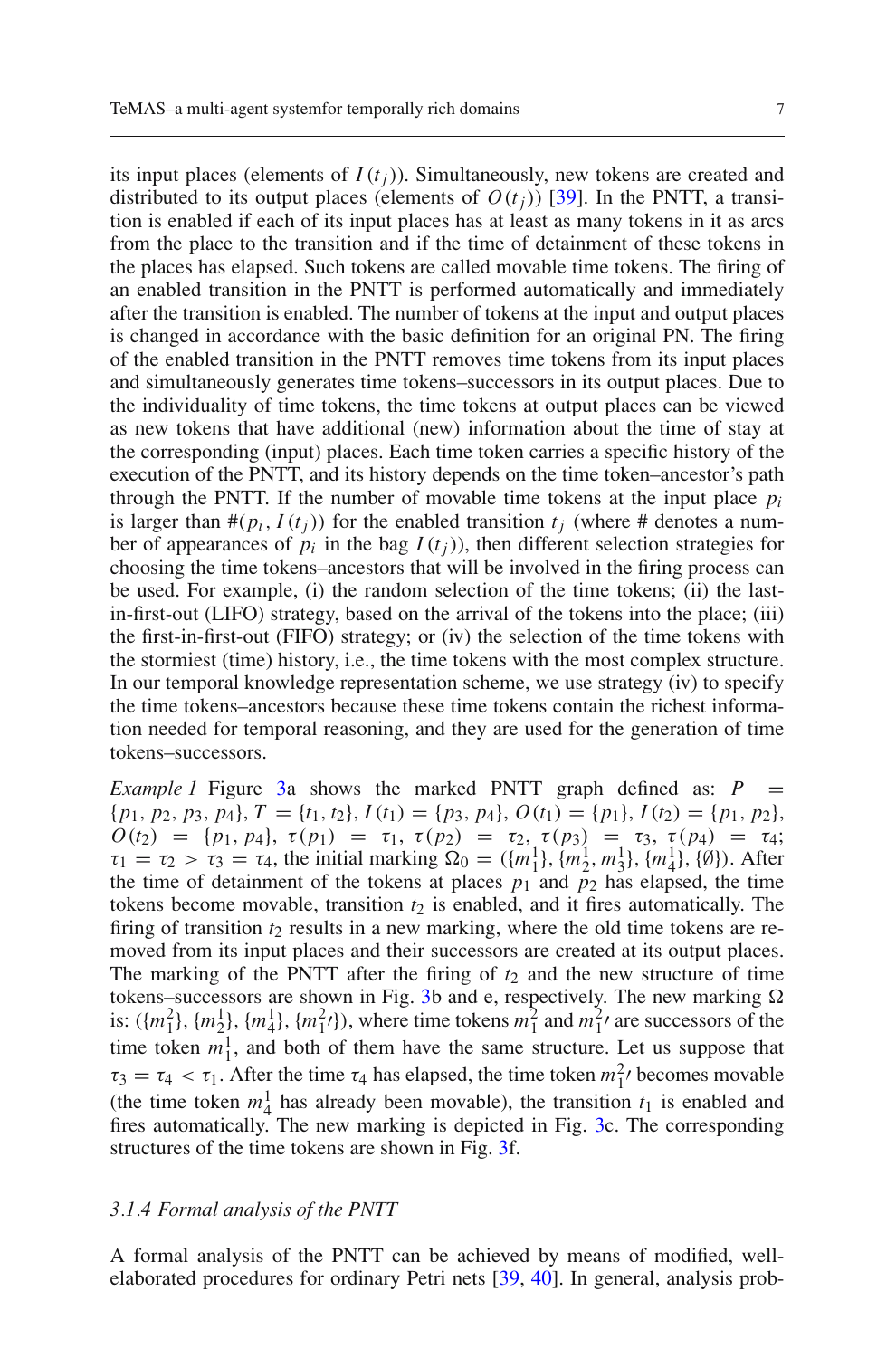its input places (elements of  $I(t_i)$ ). Simultaneously, new tokens are created and distributed to its output places (elements of  $O(t_i)$ ) [\[39\]](#page-28-18). In the PNTT, a transition is enabled if each of its input places has at least as many tokens in it as arcs from the place to the transition and if the time of detainment of these tokens in the places has elapsed. Such tokens are called movable time tokens. The firing of an enabled transition in the PNTT is performed automatically and immediately after the transition is enabled. The number of tokens at the input and output places is changed in accordance with the basic definition for an original PN. The firing of the enabled transition in the PNTT removes time tokens from its input places and simultaneously generates time tokens–successors in its output places. Due to the individuality of time tokens, the time tokens at output places can be viewed as new tokens that have additional (new) information about the time of stay at the corresponding (input) places. Each time token carries a specific history of the execution of the PNTT, and its history depends on the time token–ancestor's path through the PNTT. If the number of movable time tokens at the input place  $p_i$ is larger than  $#(p_i, I(t_i))$  for the enabled transition  $t_i$  (where # denotes a number of appearances of  $p_i$  in the bag  $I(t_i)$ ), then different selection strategies for choosing the time tokens–ancestors that will be involved in the firing process can be used. For example, (i) the random selection of the time tokens; (ii) the lastin-first-out (LIFO) strategy, based on the arrival of the tokens into the place; (iii) the first-in-first-out (FIFO) strategy; or (iv) the selection of the time tokens with the stormiest (time) history, i.e., the time tokens with the most complex structure. In our temporal knowledge representation scheme, we use strategy (iv) to specify the time tokens–ancestors because these time tokens contain the richest information needed for temporal reasoning, and they are used for the generation of time tokens–successors.

*Example 1* Figure [3a](#page-7-0) shows the marked PNTT graph defined as:  $P =$  ${p_1, p_2, p_3, p_4}, T = {t_1, t_2}, T(t_1) = {p_3, p_4}, O(t_1) = {p_1}, T(t_2) = {p_1, p_2},$ *O*(*t*<sub>2</sub>) = { $p_1, p_4$ },  $\tau(p_1) = \tau_1, \tau(p_2) = \tau_2, \tau(p_3) = \tau_3, \tau(p_4) = \tau_4;$  $\tau_1 = \tau_2 > \tau_3 = \tau_4$ , the initial marking  $\Omega_0 = (\{m_1^1\}, \{m_2^1, m_3^1\}, \{m_4^1\}, \{\emptyset\})$ . After the time of detainment of the tokens at places  $p_1$  and  $p_2$  has elapsed, the time tokens become movable, transition  $t_2$  is enabled, and it fires automatically. The firing of transition  $t_2$  results in a new marking, where the old time tokens are removed from its input places and their successors are created at its output places. The marking of the PNTT after the firing of  $t_2$  and the new structure of time tokens–successors are shown in Fig. [3b](#page-7-0) and e, respectively. The new marking  $\Omega$ is:  $({m_1^2}, {m_2^1}, {m_4^1}, {m_1^2})$ , where time tokens  $m_1^2$  and  $m_1^2$  are successors of the time token  $m_1^1$ , and both of them have the same structure. Let us suppose that  $\tau_3 = \tau_4 < \tau_1$ . After the time  $\tau_4$  has elapsed, the time token  $m_1^2$  becomes movable (the time token  $m_4^1$  has already been movable), the transition  $t_1$  is enabled and fires automatically. The new marking is depicted in Fig. [3c](#page-7-0). The corresponding structures of the time tokens are shown in Fig. [3f](#page-7-0).

#### *3.1.4 Formal analysis of the PNTT*

A formal analysis of the PNTT can be achieved by means of modified, wellelaborated procedures for ordinary Petri nets [\[39](#page-28-18), [40\]](#page-28-19). In general, analysis prob-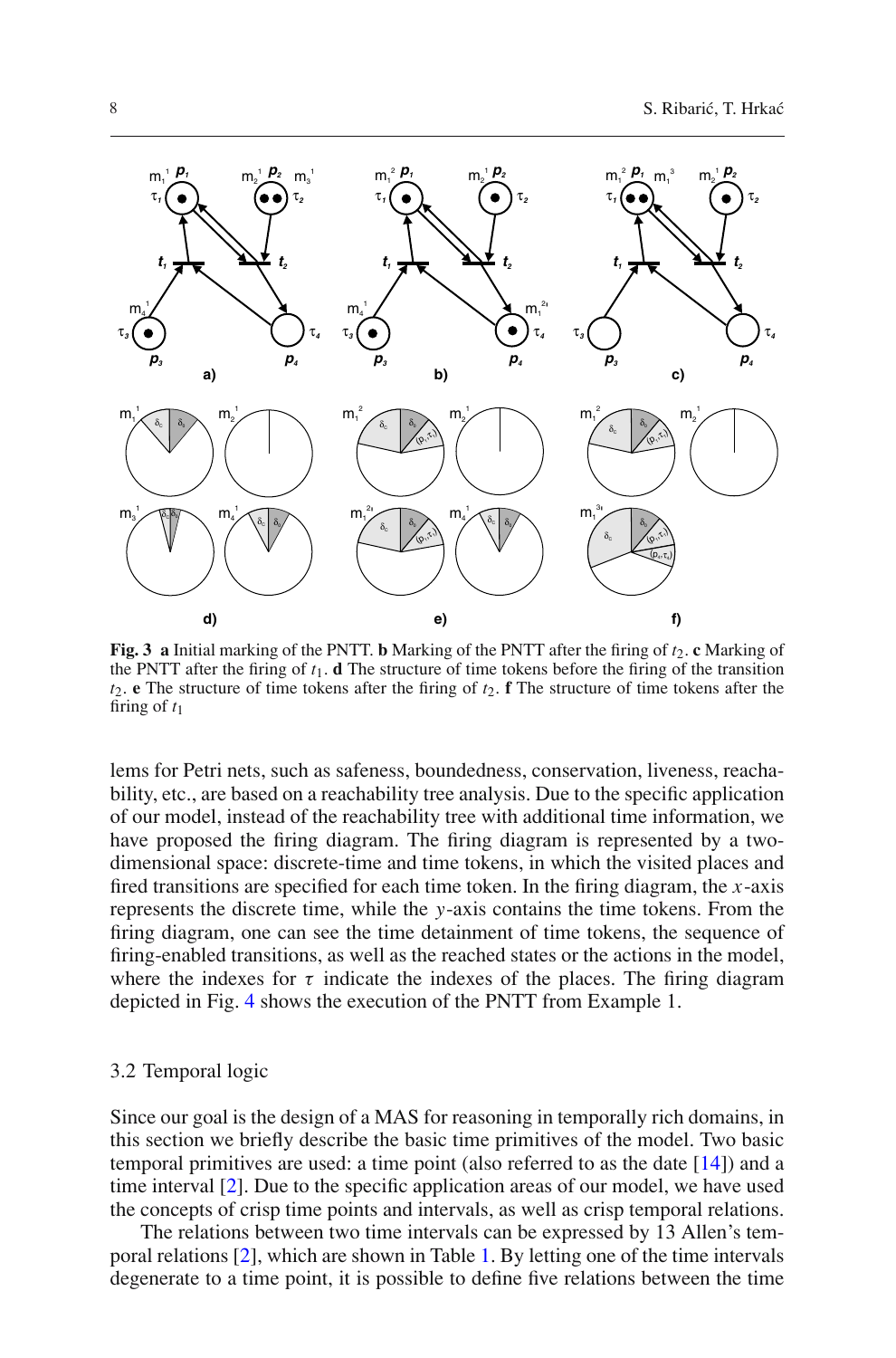

<span id="page-7-0"></span>**Fig. 3 a** Initial marking of the PNTT. **b** Marking of the PNTT after the firing of *t*2. **c** Marking of the PNTT after the firing of  $t_1$ . **d** The structure of time tokens before the firing of the transition  $t_2$ . **e** The structure of time tokens after the firing of  $t_2$ . **f** The structure of time tokens after the firing of  $t_1$ 

lems for Petri nets, such as safeness, boundedness, conservation, liveness, reachability, etc., are based on a reachability tree analysis. Due to the specific application of our model, instead of the reachability tree with additional time information, we have proposed the firing diagram. The firing diagram is represented by a twodimensional space: discrete-time and time tokens, in which the visited places and fired transitions are specified for each time token. In the firing diagram, the *x*-axis represents the discrete time, while the *y*-axis contains the time tokens. From the firing diagram, one can see the time detainment of time tokens, the sequence of firing-enabled transitions, as well as the reached states or the actions in the model, where the indexes for  $\tau$  indicate the indexes of the places. The firing diagram depicted in Fig. [4](#page-8-0) shows the execution of the PNTT from Example 1.

#### 3.2 Temporal logic

Since our goal is the design of a MAS for reasoning in temporally rich domains, in this section we briefly describe the basic time primitives of the model. Two basic temporal primitives are used: a time point (also referred to as the date [\[14\]](#page-27-24)) and a time interval [\[2](#page-26-1)]. Due to the specific application areas of our model, we have used the concepts of crisp time points and intervals, as well as crisp temporal relations.

The relations between two time intervals can be expressed by 13 Allen's temporal relations [\[2\]](#page-26-1), which are shown in Table [1.](#page-8-1) By letting one of the time intervals degenerate to a time point, it is possible to define five relations between the time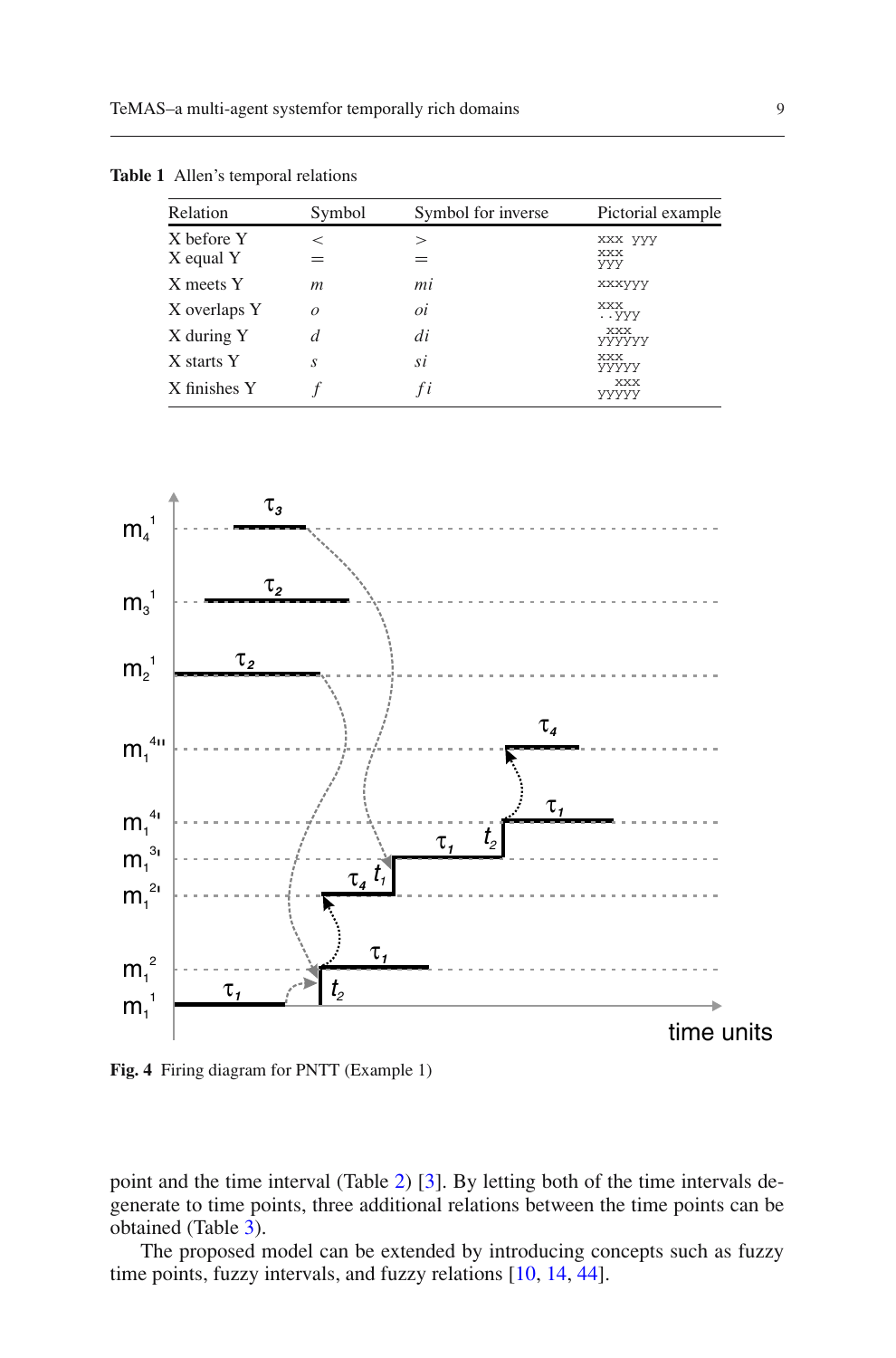<span id="page-8-1"></span>**Table 1** Allen's temporal relations

| Relation                | Symbol   | Symbol for inverse | Pictorial example     |
|-------------------------|----------|--------------------|-----------------------|
| X before Y<br>X equal Y | $\,<$    | $\,>$              | XXX YYY<br>XXX<br>yyy |
| X meets Y               | m        | $m_l$              | <b>XXXVVV</b>         |
| X overlaps Y            | $\Omega$ | оi                 | XXX<br>. . ууу        |
| X during Y              | d        | di                 | XXX<br>УУУУУУ         |
| X starts Y              | S        | si                 | XXX<br>yyyyy          |
| X finishes Y            |          | tι                 | XXX<br>yyyyy          |



<span id="page-8-0"></span>**Fig. 4** Firing diagram for PNTT (Example 1)

point and the time interval (Table [2\)](#page-9-0) [\[3\]](#page-26-2). By letting both of the time intervals degenerate to time points, three additional relations between the time points can be obtained (Table [3\)](#page-9-1).

The proposed model can be extended by introducing concepts such as fuzzy time points, fuzzy intervals, and fuzzy relations [\[10,](#page-27-25) [14](#page-27-24), [44](#page-28-20)].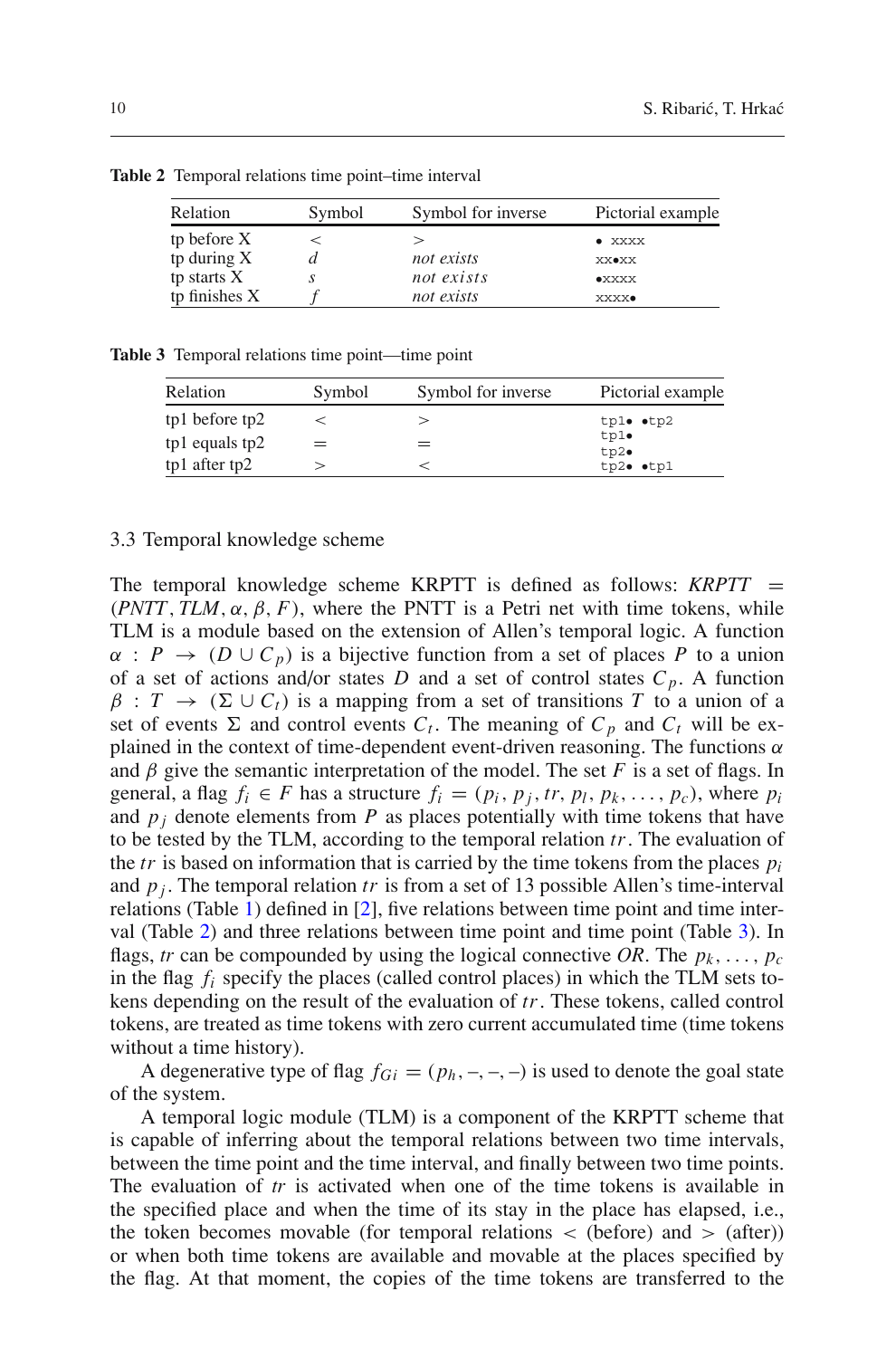| Relation        | Symbol | Symbol for inverse | Pictorial example     |  |
|-----------------|--------|--------------------|-----------------------|--|
| tp before X     |        |                    | $\bullet$ XXXX        |  |
| tp during $X$   |        | not exists         | <b>XXOXX</b>          |  |
| tp starts X     |        | not exists         | $\bullet$ <b>XXXX</b> |  |
| tp finishes $X$ |        | not exists         | <b>XXXX*</b>          |  |

<span id="page-9-0"></span>**Table 2** Temporal relations time point–time interval

<span id="page-9-1"></span>**Table 3** Temporal relations time point—time point

| Relation         | Symbol | Symbol for inverse | Pictorial example          |
|------------------|--------|--------------------|----------------------------|
| tp1 before tp2   |        |                    | $tp1\bullet$ $\bullet tp2$ |
| tp1 equals $tp2$ |        |                    | $tp1$ .<br>$tp2\bullet$    |
| tp1 after $tp2$  |        |                    | tp2. .tp1                  |

#### 3.3 Temporal knowledge scheme

The temporal knowledge scheme KRPTT is defined as follows: *KRPTT* = (*PNTT*, *TLM*,  $\alpha$ ,  $\beta$ ,  $F$ ), where the PNTT is a Petri net with time tokens, while TLM is a module based on the extension of Allen's temporal logic. A function  $\alpha$ : *P*  $\rightarrow$  (*D*  $\cup$  *C<sub>p</sub>*) is a bijective function from a set of places *P* to a union of a set of actions and/or states  $D$  and a set of control states  $C_p$ . A function  $\beta$  :  $T \to (\Sigma \cup C_t)$  is a mapping from a set of transitions *T* to a union of a set of events  $\Sigma$  and control events  $C_t$ . The meaning of  $C_p$  and  $C_t$  will be explained in the context of time-dependent event-driven reasoning. The functions  $\alpha$ and  $\beta$  give the semantic interpretation of the model. The set *F* is a set of flags. In general, a flag  $f_i \in F$  has a structure  $f_i = (p_i, p_j, tr, p_l, p_k, \ldots, p_c)$ , where  $p_i$ and  $p_i$  denote elements from  $P$  as places potentially with time tokens that have to be tested by the TLM, according to the temporal relation *tr*. The evaluation of the *tr* is based on information that is carried by the time tokens from the places  $p_i$ and  $p_i$ . The temporal relation *tr* is from a set of 13 possible Allen's time-interval relations (Table [1\)](#page-8-1) defined in [\[2\]](#page-26-1), five relations between time point and time interval (Table [2\)](#page-9-0) and three relations between time point and time point (Table [3\)](#page-9-1). In flags, *tr* can be compounded by using the logical connective *OR*. The  $p_k, \ldots, p_c$ in the flag *fi* specify the places (called control places) in which the TLM sets tokens depending on the result of the evaluation of *tr*. These tokens, called control tokens, are treated as time tokens with zero current accumulated time (time tokens without a time history).

A degenerative type of flag  $f_{Gi} = (p_h, -, -, -)$  is used to denote the goal state of the system.

A temporal logic module (TLM) is a component of the KRPTT scheme that is capable of inferring about the temporal relations between two time intervals, between the time point and the time interval, and finally between two time points. The evaluation of *tr* is activated when one of the time tokens is available in the specified place and when the time of its stay in the place has elapsed, i.e., the token becomes movable (for temporal relations  $\lt$  (before) and  $\gt$  (after)) or when both time tokens are available and movable at the places specified by the flag. At that moment, the copies of the time tokens are transferred to the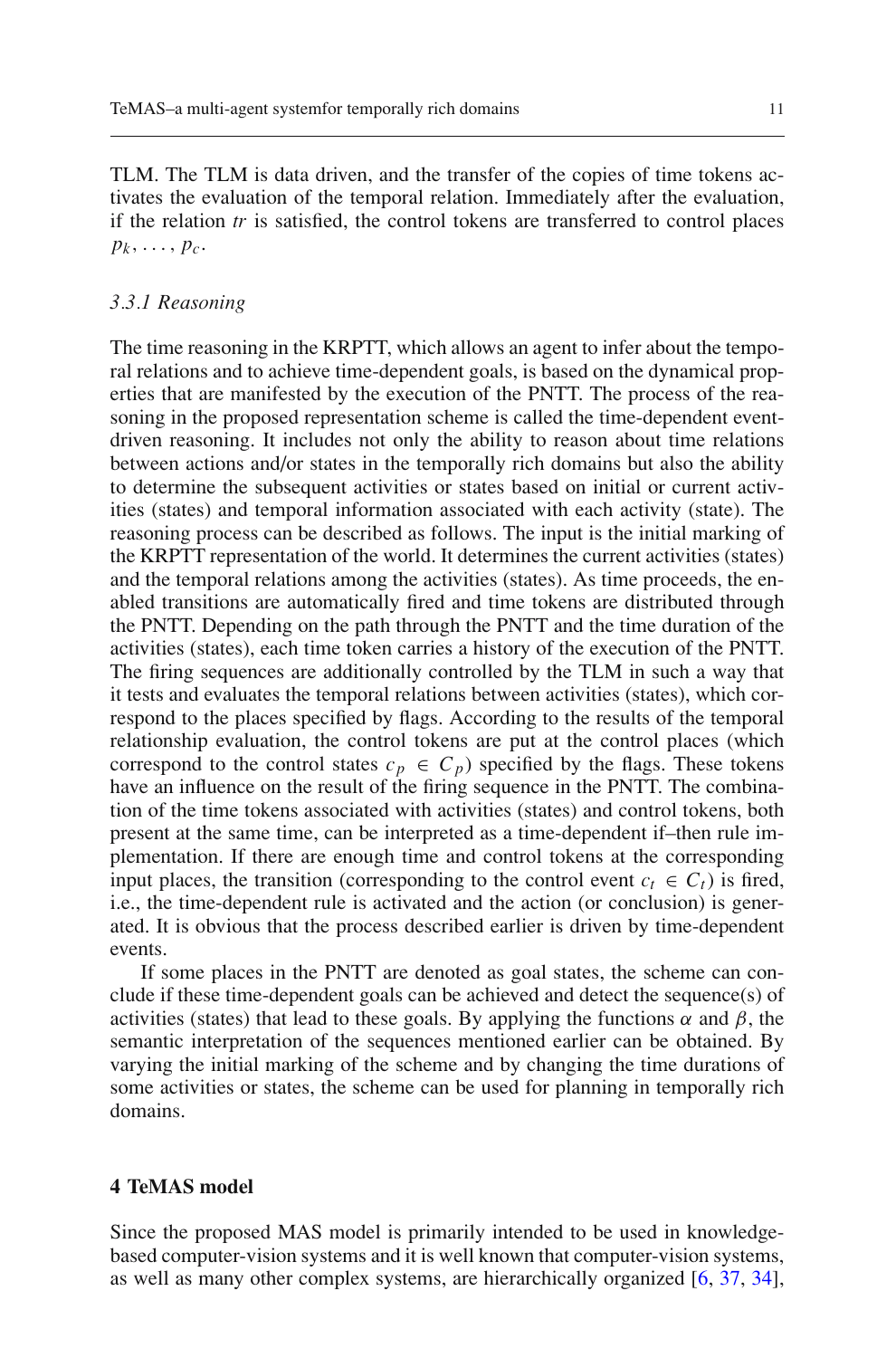TLM. The TLM is data driven, and the transfer of the copies of time tokens activates the evaluation of the temporal relation. Immediately after the evaluation, if the relation *tr* is satisfied, the control tokens are transferred to control places  $p_k, \ldots, p_c$ .

#### *3.3.1 Reasoning*

The time reasoning in the KRPTT, which allows an agent to infer about the temporal relations and to achieve time-dependent goals, is based on the dynamical properties that are manifested by the execution of the PNTT. The process of the reasoning in the proposed representation scheme is called the time-dependent eventdriven reasoning. It includes not only the ability to reason about time relations between actions and/or states in the temporally rich domains but also the ability to determine the subsequent activities or states based on initial or current activities (states) and temporal information associated with each activity (state). The reasoning process can be described as follows. The input is the initial marking of the KRPTT representation of the world. It determines the current activities (states) and the temporal relations among the activities (states). As time proceeds, the enabled transitions are automatically fired and time tokens are distributed through the PNTT. Depending on the path through the PNTT and the time duration of the activities (states), each time token carries a history of the execution of the PNTT. The firing sequences are additionally controlled by the TLM in such a way that it tests and evaluates the temporal relations between activities (states), which correspond to the places specified by flags. According to the results of the temporal relationship evaluation, the control tokens are put at the control places (which correspond to the control states  $c_p \in C_p$ ) specified by the flags. These tokens have an influence on the result of the firing sequence in the PNTT. The combination of the time tokens associated with activities (states) and control tokens, both present at the same time, can be interpreted as a time-dependent if–then rule implementation. If there are enough time and control tokens at the corresponding input places, the transition (corresponding to the control event  $c_t \in C_t$ ) is fired, i.e., the time-dependent rule is activated and the action (or conclusion) is generated. It is obvious that the process described earlier is driven by time-dependent events.

If some places in the PNTT are denoted as goal states, the scheme can conclude if these time-dependent goals can be achieved and detect the sequence(s) of activities (states) that lead to these goals. By applying the functions  $\alpha$  and  $\beta$ , the semantic interpretation of the sequences mentioned earlier can be obtained. By varying the initial marking of the scheme and by changing the time durations of some activities or states, the scheme can be used for planning in temporally rich domains.

#### **4 TeMAS model**

Since the proposed MAS model is primarily intended to be used in knowledgebased computer-vision systems and it is well known that computer-vision systems, as well as many other complex systems, are hierarchically organized [\[6,](#page-26-6) [37](#page-28-21), [34\]](#page-27-26),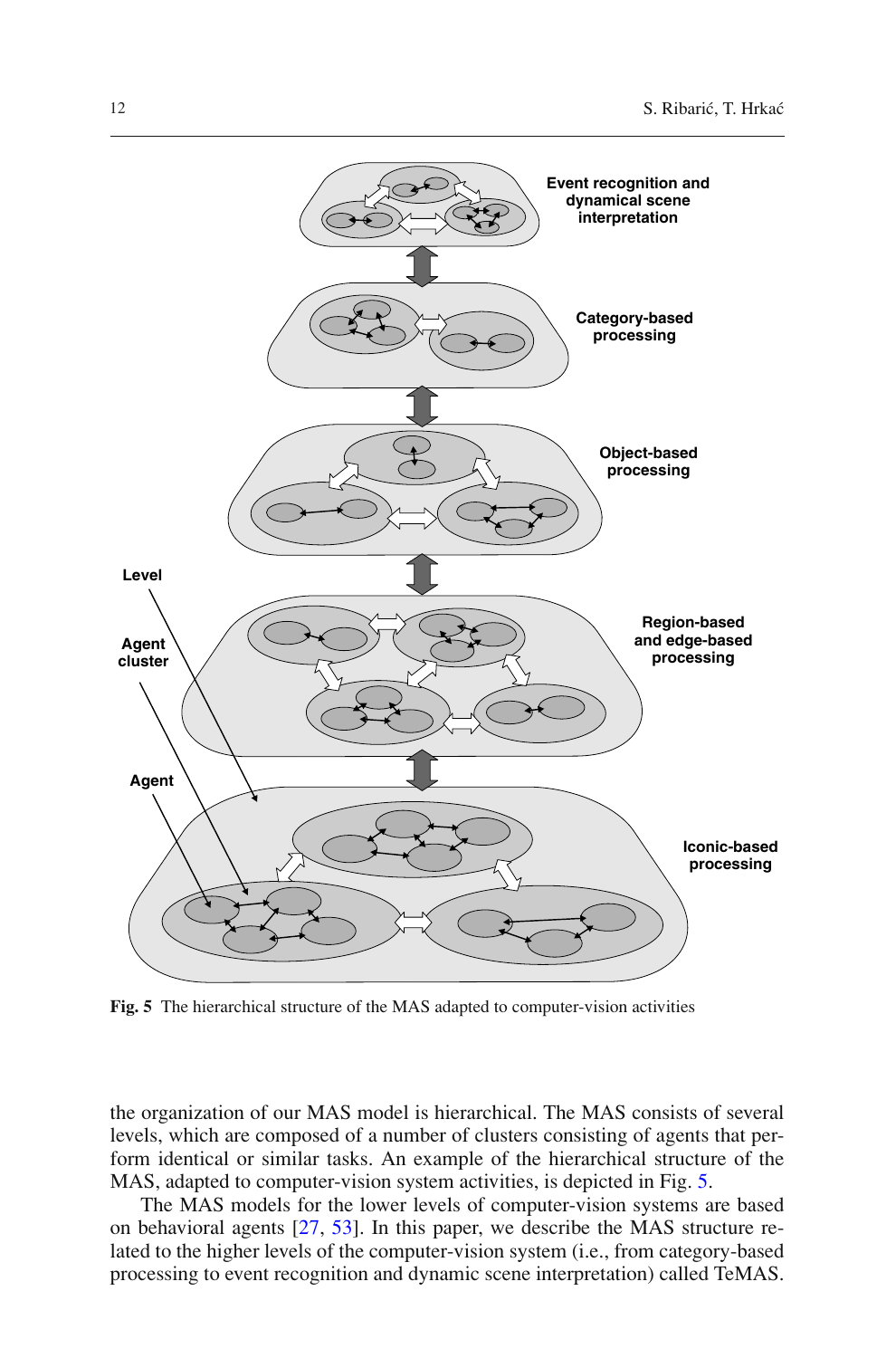

<span id="page-11-0"></span>**Fig. 5** The hierarchical structure of the MAS adapted to computer-vision activities

the organization of our MAS model is hierarchical. The MAS consists of several levels, which are composed of a number of clusters consisting of agents that perform identical or similar tasks. An example of the hierarchical structure of the MAS, adapted to computer-vision system activities, is depicted in Fig. [5.](#page-11-0)

The MAS models for the lower levels of computer-vision systems are based on behavioral agents [\[27,](#page-27-1) [53\]](#page-28-22). In this paper, we describe the MAS structure related to the higher levels of the computer-vision system (i.e., from category-based processing to event recognition and dynamic scene interpretation) called TeMAS.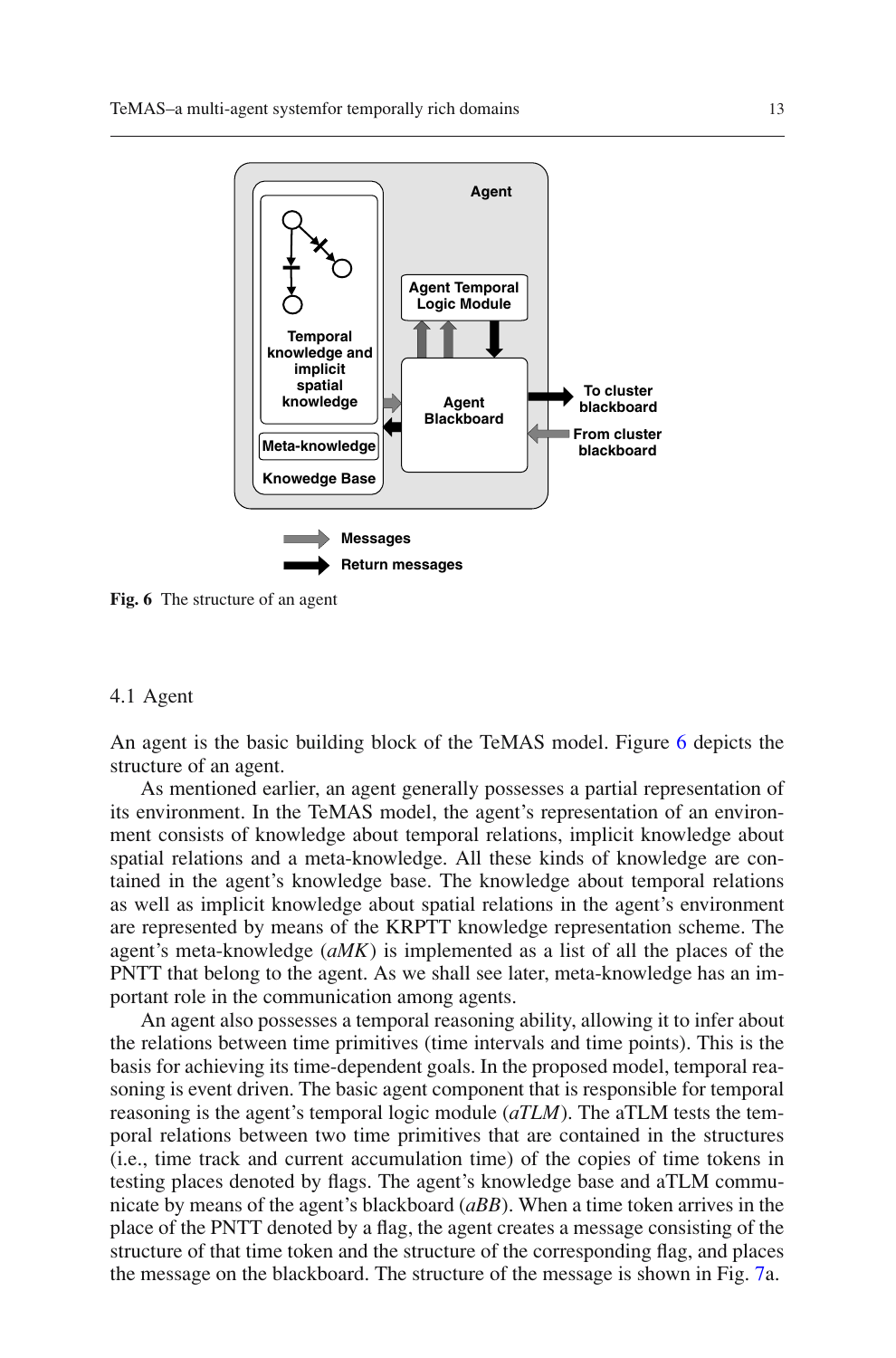

<span id="page-12-0"></span>**Fig. 6** The structure of an agent

#### 4.1 Agent

An agent is the basic building block of the TeMAS model. Figure [6](#page-12-0) depicts the structure of an agent.

As mentioned earlier, an agent generally possesses a partial representation of its environment. In the TeMAS model, the agent's representation of an environment consists of knowledge about temporal relations, implicit knowledge about spatial relations and a meta-knowledge. All these kinds of knowledge are contained in the agent's knowledge base. The knowledge about temporal relations as well as implicit knowledge about spatial relations in the agent's environment are represented by means of the KRPTT knowledge representation scheme. The agent's meta-knowledge (*aMK*) is implemented as a list of all the places of the PNTT that belong to the agent. As we shall see later, meta-knowledge has an important role in the communication among agents.

An agent also possesses a temporal reasoning ability, allowing it to infer about the relations between time primitives (time intervals and time points). This is the basis for achieving its time-dependent goals. In the proposed model, temporal reasoning is event driven. The basic agent component that is responsible for temporal reasoning is the agent's temporal logic module (*aTLM*). The aTLM tests the temporal relations between two time primitives that are contained in the structures (i.e., time track and current accumulation time) of the copies of time tokens in testing places denoted by flags. The agent's knowledge base and aTLM communicate by means of the agent's blackboard (*aBB*). When a time token arrives in the place of the PNTT denoted by a flag, the agent creates a message consisting of the structure of that time token and the structure of the corresponding flag, and places the message on the blackboard. The structure of the message is shown in Fig. [7a](#page-13-0).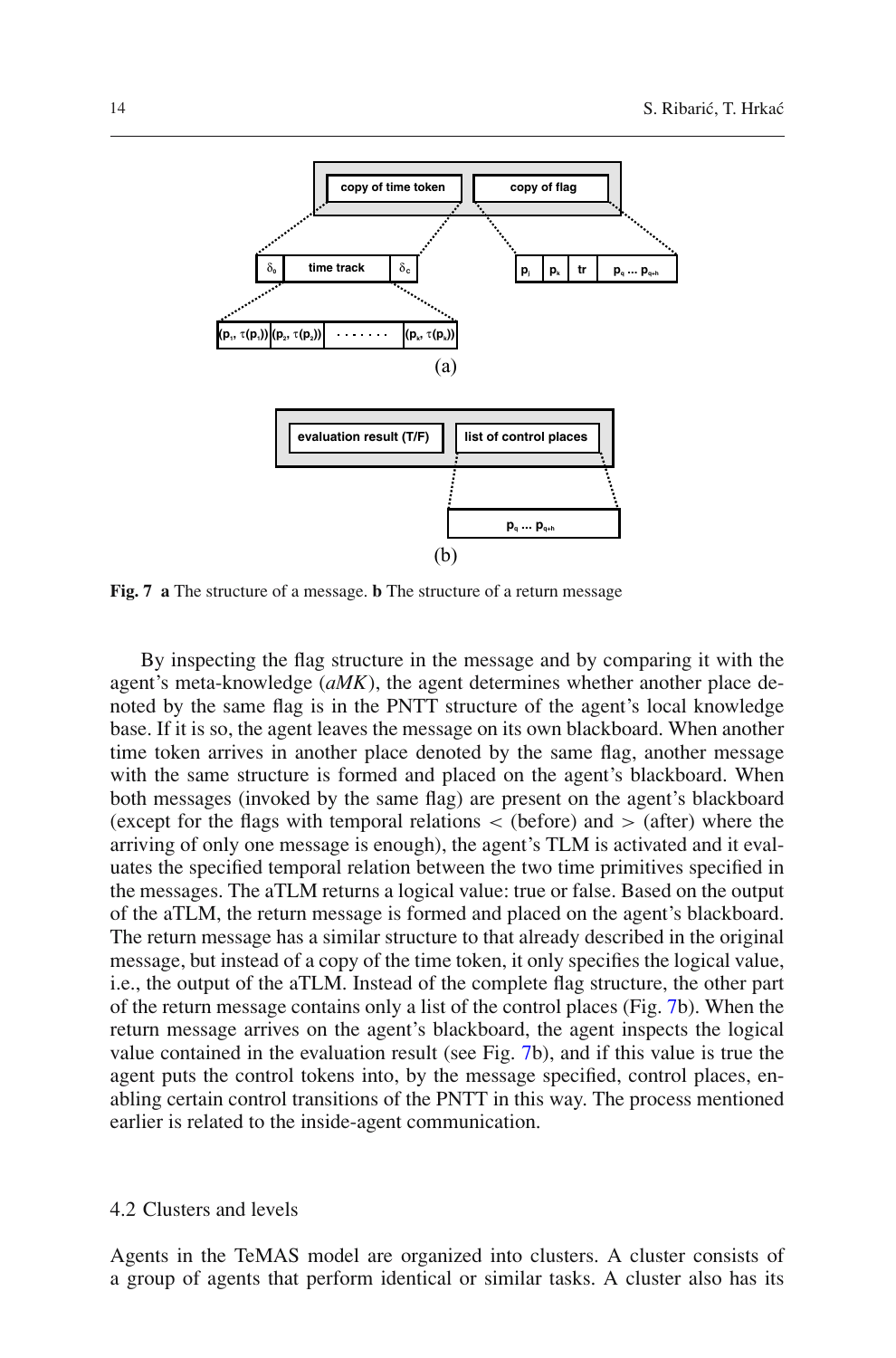

<span id="page-13-0"></span>**Fig. 7 a** The structure of a message. **b** The structure of a return message

By inspecting the flag structure in the message and by comparing it with the agent's meta-knowledge (*aMK*), the agent determines whether another place denoted by the same flag is in the PNTT structure of the agent's local knowledge base. If it is so, the agent leaves the message on its own blackboard. When another time token arrives in another place denoted by the same flag, another message with the same structure is formed and placed on the agent's blackboard. When both messages (invoked by the same flag) are present on the agent's blackboard (except for the flags with temporal relations  $\lt$  (before) and  $\gt$  (after) where the arriving of only one message is enough), the agent's TLM is activated and it evaluates the specified temporal relation between the two time primitives specified in the messages. The aTLM returns a logical value: true or false. Based on the output of the aTLM, the return message is formed and placed on the agent's blackboard. The return message has a similar structure to that already described in the original message, but instead of a copy of the time token, it only specifies the logical value, i.e., the output of the aTLM. Instead of the complete flag structure, the other part of the return message contains only a list of the control places (Fig. [7b](#page-13-0)). When the return message arrives on the agent's blackboard, the agent inspects the logical value contained in the evaluation result (see Fig. [7b](#page-13-0)), and if this value is true the agent puts the control tokens into, by the message specified, control places, enabling certain control transitions of the PNTT in this way. The process mentioned earlier is related to the inside-agent communication.

#### 4.2 Clusters and levels

Agents in the TeMAS model are organized into clusters. A cluster consists of a group of agents that perform identical or similar tasks. A cluster also has its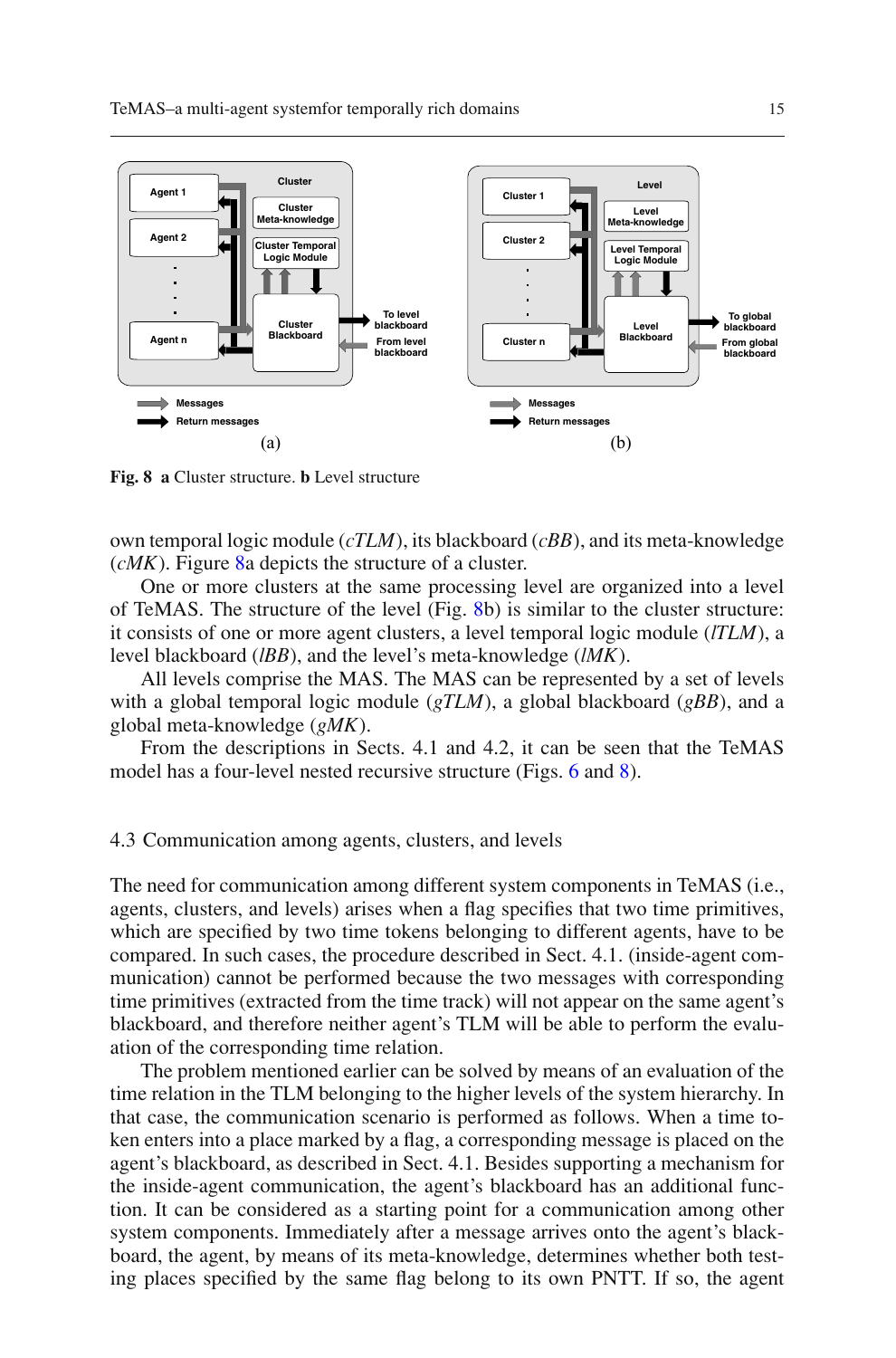

<span id="page-14-0"></span>**Fig. 8 a** Cluster structure. **b** Level structure

own temporal logic module (*cTLM*), its blackboard (*cBB*), and its meta-knowledge (*cMK*). Figure [8a](#page-14-0) depicts the structure of a cluster.

One or more clusters at the same processing level are organized into a level of TeMAS. The structure of the level (Fig. [8b](#page-14-0)) is similar to the cluster structure: it consists of one or more agent clusters, a level temporal logic module (*lTLM*), a level blackboard (*lBB*), and the level's meta-knowledge (*lMK*).

All levels comprise the MAS. The MAS can be represented by a set of levels with a global temporal logic module (*gTLM*), a global blackboard (*gBB*), and a global meta-knowledge (*gMK*).

From the descriptions in Sects. 4.1 and 4.2, it can be seen that the TeMAS model has a four-level nested recursive structure (Figs. [6](#page-12-0) and [8\)](#page-14-0).

#### 4.3 Communication among agents, clusters, and levels

The need for communication among different system components in TeMAS (i.e., agents, clusters, and levels) arises when a flag specifies that two time primitives, which are specified by two time tokens belonging to different agents, have to be compared. In such cases, the procedure described in Sect. 4.1. (inside-agent communication) cannot be performed because the two messages with corresponding time primitives (extracted from the time track) will not appear on the same agent's blackboard, and therefore neither agent's TLM will be able to perform the evaluation of the corresponding time relation.

The problem mentioned earlier can be solved by means of an evaluation of the time relation in the TLM belonging to the higher levels of the system hierarchy. In that case, the communication scenario is performed as follows. When a time token enters into a place marked by a flag, a corresponding message is placed on the agent's blackboard, as described in Sect. 4.1. Besides supporting a mechanism for the inside-agent communication, the agent's blackboard has an additional function. It can be considered as a starting point for a communication among other system components. Immediately after a message arrives onto the agent's blackboard, the agent, by means of its meta-knowledge, determines whether both testing places specified by the same flag belong to its own PNTT. If so, the agent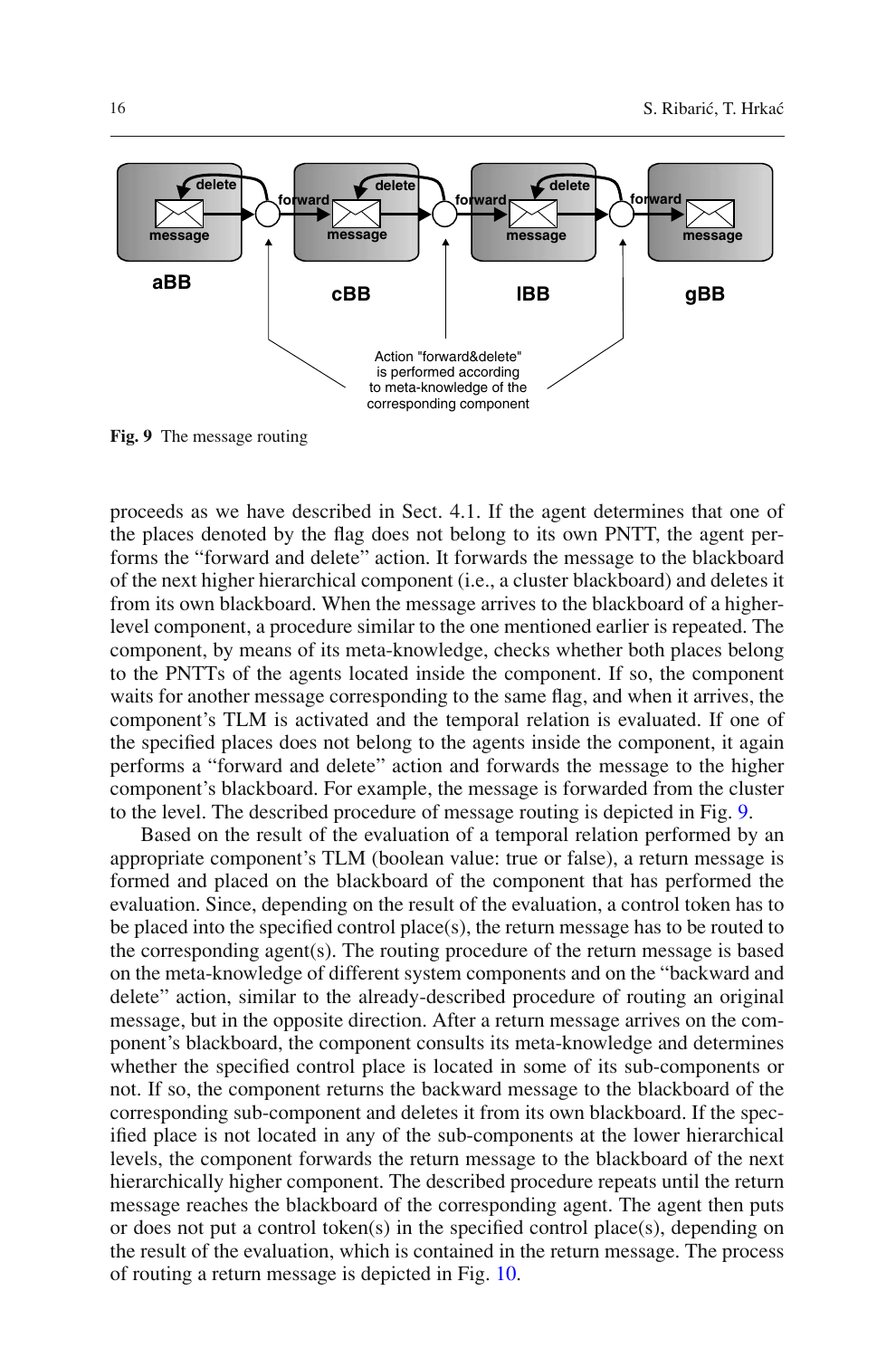

<span id="page-15-0"></span>**Fig. 9** The message routing

proceeds as we have described in Sect. 4.1. If the agent determines that one of the places denoted by the flag does not belong to its own PNTT, the agent performs the "forward and delete" action. It forwards the message to the blackboard of the next higher hierarchical component (i.e., a cluster blackboard) and deletes it from its own blackboard. When the message arrives to the blackboard of a higherlevel component, a procedure similar to the one mentioned earlier is repeated. The component, by means of its meta-knowledge, checks whether both places belong to the PNTTs of the agents located inside the component. If so, the component waits for another message corresponding to the same flag, and when it arrives, the component's TLM is activated and the temporal relation is evaluated. If one of the specified places does not belong to the agents inside the component, it again performs a "forward and delete" action and forwards the message to the higher component's blackboard. For example, the message is forwarded from the cluster to the level. The described procedure of message routing is depicted in Fig. [9.](#page-15-0)

Based on the result of the evaluation of a temporal relation performed by an appropriate component's TLM (boolean value: true or false), a return message is formed and placed on the blackboard of the component that has performed the evaluation. Since, depending on the result of the evaluation, a control token has to be placed into the specified control place(s), the return message has to be routed to the corresponding agent(s). The routing procedure of the return message is based on the meta-knowledge of different system components and on the "backward and delete" action, similar to the already-described procedure of routing an original message, but in the opposite direction. After a return message arrives on the component's blackboard, the component consults its meta-knowledge and determines whether the specified control place is located in some of its sub-components or not. If so, the component returns the backward message to the blackboard of the corresponding sub-component and deletes it from its own blackboard. If the specified place is not located in any of the sub-components at the lower hierarchical levels, the component forwards the return message to the blackboard of the next hierarchically higher component. The described procedure repeats until the return message reaches the blackboard of the corresponding agent. The agent then puts or does not put a control token(s) in the specified control place(s), depending on the result of the evaluation, which is contained in the return message. The process of routing a return message is depicted in Fig. [10.](#page-16-0)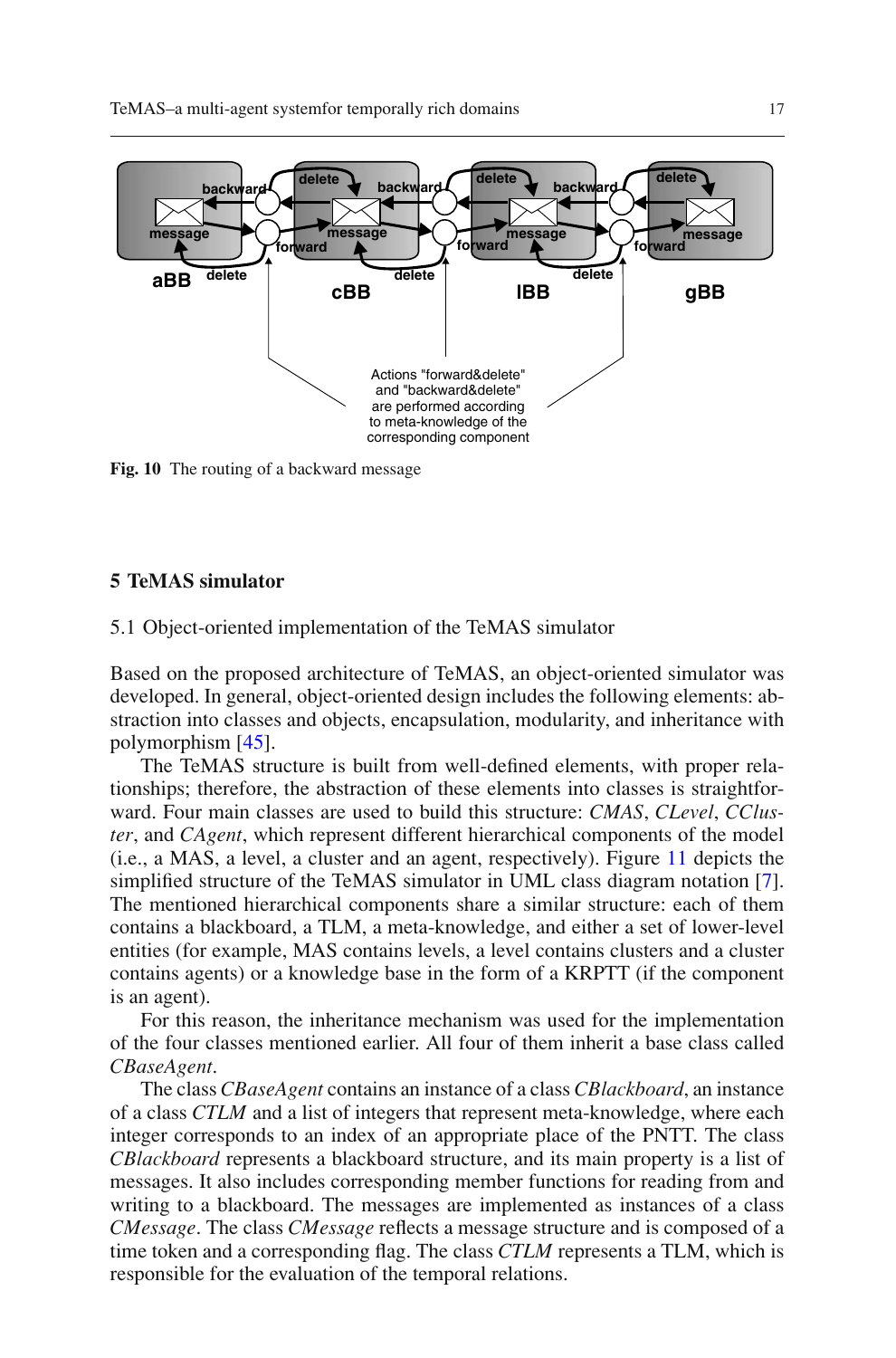

<span id="page-16-0"></span>**Fig. 10** The routing of a backward message

#### **5 TeMAS simulator**

5.1 Object-oriented implementation of the TeMAS simulator

Based on the proposed architecture of TeMAS, an object-oriented simulator was developed. In general, object-oriented design includes the following elements: abstraction into classes and objects, encapsulation, modularity, and inheritance with polymorphism [\[45](#page-28-23)].

The TeMAS structure is built from well-defined elements, with proper relationships; therefore, the abstraction of these elements into classes is straightforward. Four main classes are used to build this structure: *CMAS*, *CLevel*, *CCluster*, and *CAgent*, which represent different hierarchical components of the model (i.e., a MAS, a level, a cluster and an agent, respectively). Figure [11](#page-17-0) depicts the simplified structure of the TeMAS simulator in UML class diagram notation [\[7\]](#page-26-7). The mentioned hierarchical components share a similar structure: each of them contains a blackboard, a TLM, a meta-knowledge, and either a set of lower-level entities (for example, MAS contains levels, a level contains clusters and a cluster contains agents) or a knowledge base in the form of a KRPTT (if the component is an agent).

For this reason, the inheritance mechanism was used for the implementation of the four classes mentioned earlier. All four of them inherit a base class called *CBaseAgent*.

The class *CBaseAgent* contains an instance of a class *CBlackboard*, an instance of a class *CTLM* and a list of integers that represent meta-knowledge, where each integer corresponds to an index of an appropriate place of the PNTT. The class *CBlackboard* represents a blackboard structure, and its main property is a list of messages. It also includes corresponding member functions for reading from and writing to a blackboard. The messages are implemented as instances of a class *CMessage*. The class *CMessage* reflects a message structure and is composed of a time token and a corresponding flag. The class *CTLM* represents a TLM, which is responsible for the evaluation of the temporal relations.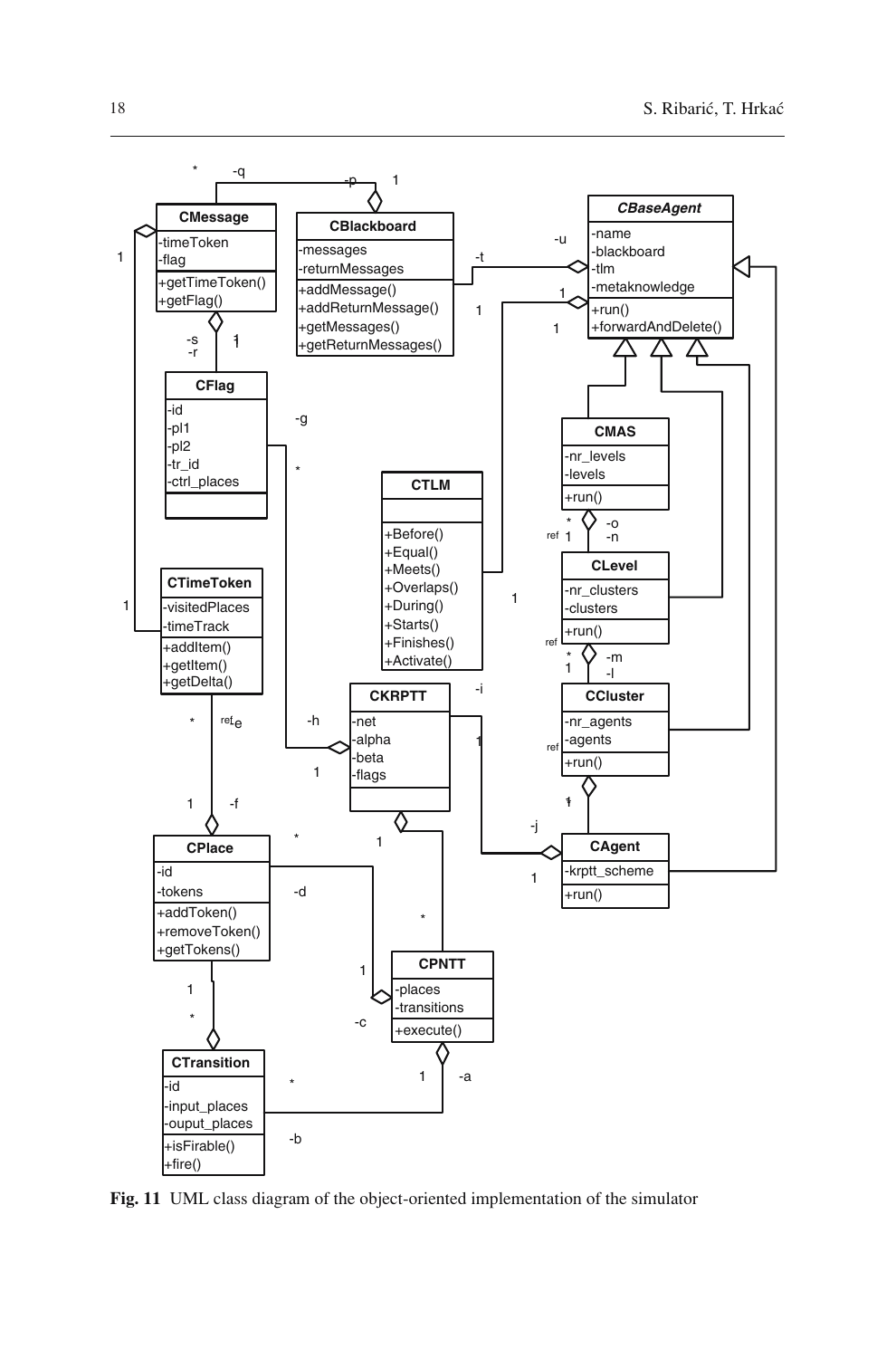

<span id="page-17-0"></span>**Fig. 11** UML class diagram of the object-oriented implementation of the simulator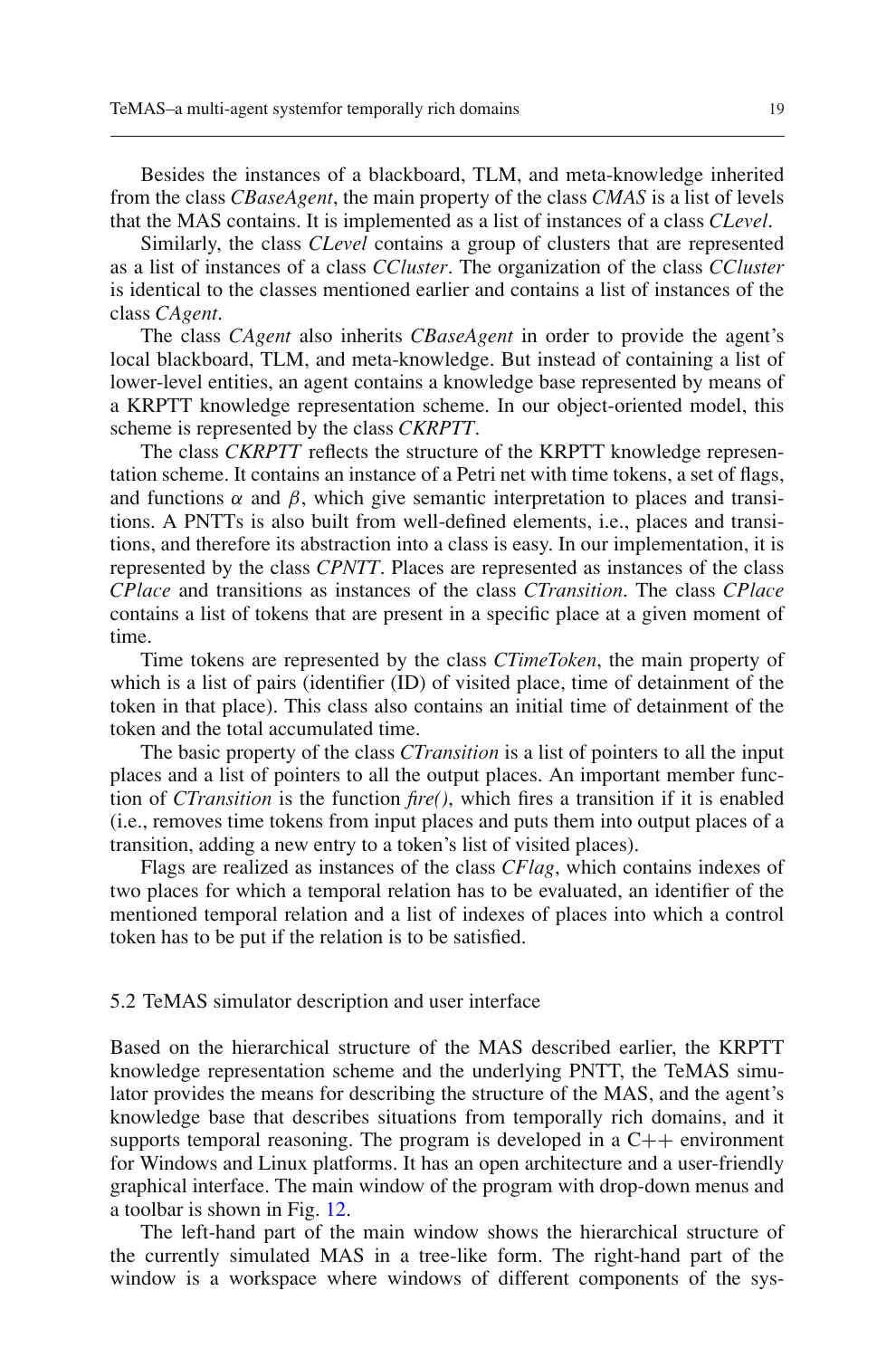Besides the instances of a blackboard, TLM, and meta-knowledge inherited from the class *CBaseAgent*, the main property of the class *CMAS* is a list of levels that the MAS contains. It is implemented as a list of instances of a class *CLevel*.

Similarly, the class *CLevel* contains a group of clusters that are represented as a list of instances of a class *CCluster*. The organization of the class *CCluster* is identical to the classes mentioned earlier and contains a list of instances of the class *CAgent*.

The class *CAgent* also inherits *CBaseAgent* in order to provide the agent's local blackboard, TLM, and meta-knowledge. But instead of containing a list of lower-level entities, an agent contains a knowledge base represented by means of a KRPTT knowledge representation scheme. In our object-oriented model, this scheme is represented by the class *CKRPTT*.

The class *CKRPTT* reflects the structure of the KRPTT knowledge representation scheme. It contains an instance of a Petri net with time tokens, a set of flags, and functions  $\alpha$  and  $\beta$ , which give semantic interpretation to places and transitions. A PNTTs is also built from well-defined elements, i.e., places and transitions, and therefore its abstraction into a class is easy. In our implementation, it is represented by the class *CPNTT*. Places are represented as instances of the class *CPlace* and transitions as instances of the class *CTransition*. The class *CPlace* contains a list of tokens that are present in a specific place at a given moment of time.

Time tokens are represented by the class *CTimeToken*, the main property of which is a list of pairs (identifier (ID) of visited place, time of detainment of the token in that place). This class also contains an initial time of detainment of the token and the total accumulated time.

The basic property of the class *CTransition* is a list of pointers to all the input places and a list of pointers to all the output places. An important member function of *CTransition* is the function *fire()*, which fires a transition if it is enabled (i.e., removes time tokens from input places and puts them into output places of a transition, adding a new entry to a token's list of visited places).

Flags are realized as instances of the class *CFlag*, which contains indexes of two places for which a temporal relation has to be evaluated, an identifier of the mentioned temporal relation and a list of indexes of places into which a control token has to be put if the relation is to be satisfied.

#### 5.2 TeMAS simulator description and user interface

Based on the hierarchical structure of the MAS described earlier, the KRPTT knowledge representation scheme and the underlying PNTT, the TeMAS simulator provides the means for describing the structure of the MAS, and the agent's knowledge base that describes situations from temporally rich domains, and it supports temporal reasoning. The program is developed in a  $C++$  environment for Windows and Linux platforms. It has an open architecture and a user-friendly graphical interface. The main window of the program with drop-down menus and a toolbar is shown in Fig. [12.](#page-19-0)

The left-hand part of the main window shows the hierarchical structure of the currently simulated MAS in a tree-like form. The right-hand part of the window is a workspace where windows of different components of the sys-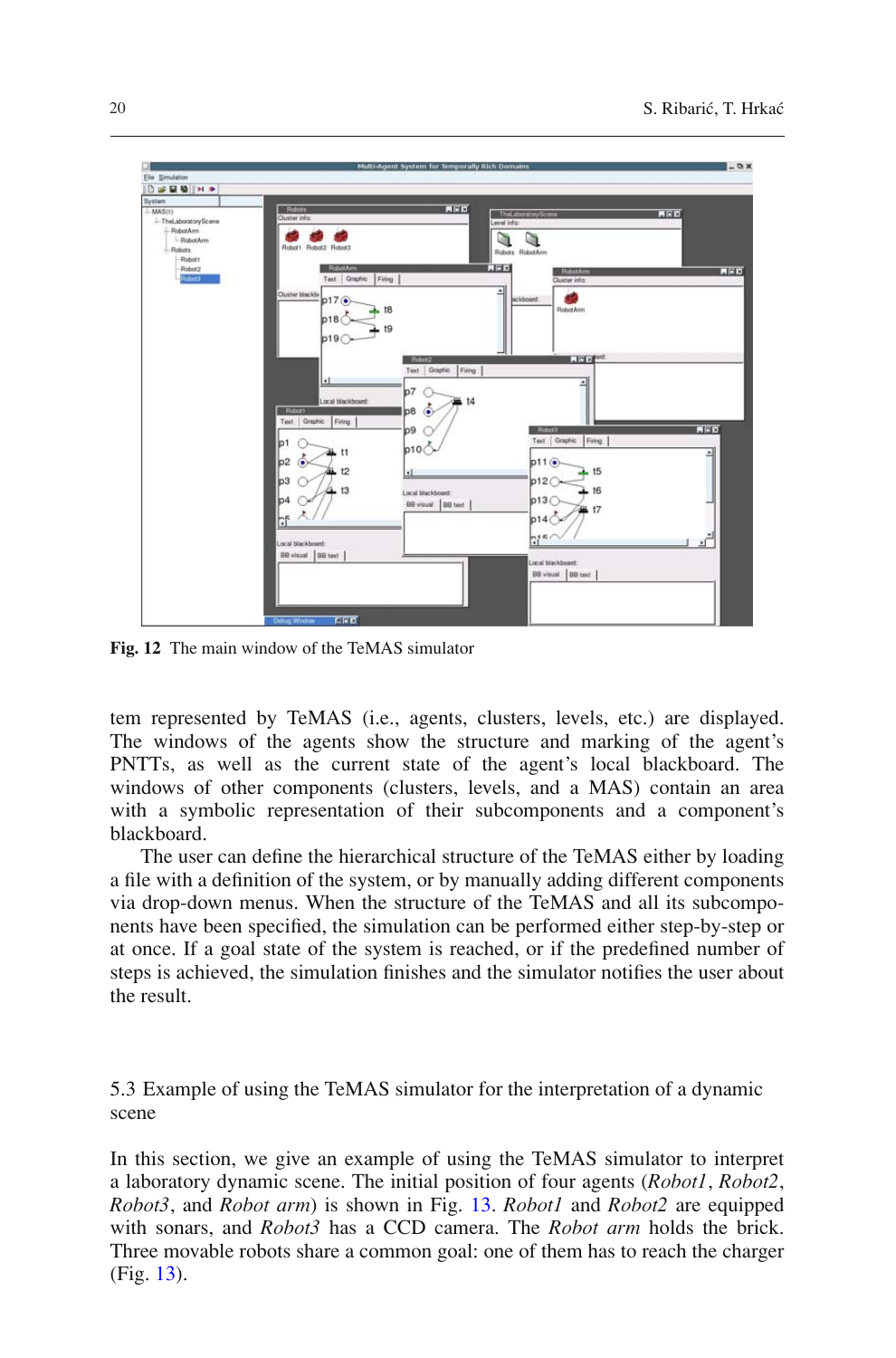

<span id="page-19-0"></span>**Fig. 12** The main window of the TeMAS simulator

tem represented by TeMAS (i.e., agents, clusters, levels, etc.) are displayed. The windows of the agents show the structure and marking of the agent's PNTTs, as well as the current state of the agent's local blackboard. The windows of other components (clusters, levels, and a MAS) contain an area with a symbolic representation of their subcomponents and a component's blackboard.

The user can define the hierarchical structure of the TeMAS either by loading a file with a definition of the system, or by manually adding different components via drop-down menus. When the structure of the TeMAS and all its subcomponents have been specified, the simulation can be performed either step-by-step or at once. If a goal state of the system is reached, or if the predefined number of steps is achieved, the simulation finishes and the simulator notifies the user about the result.

5.3 Example of using the TeMAS simulator for the interpretation of a dynamic scene

In this section, we give an example of using the TeMAS simulator to interpret a laboratory dynamic scene. The initial position of four agents (*Robot1*, *Robot2*, *Robot3*, and *Robot arm*) is shown in Fig. [13.](#page-20-0) *Robot1* and *Robot2* are equipped with sonars, and *Robot3* has a CCD camera. The *Robot arm* holds the brick. Three movable robots share a common goal: one of them has to reach the charger (Fig. [13\)](#page-20-0).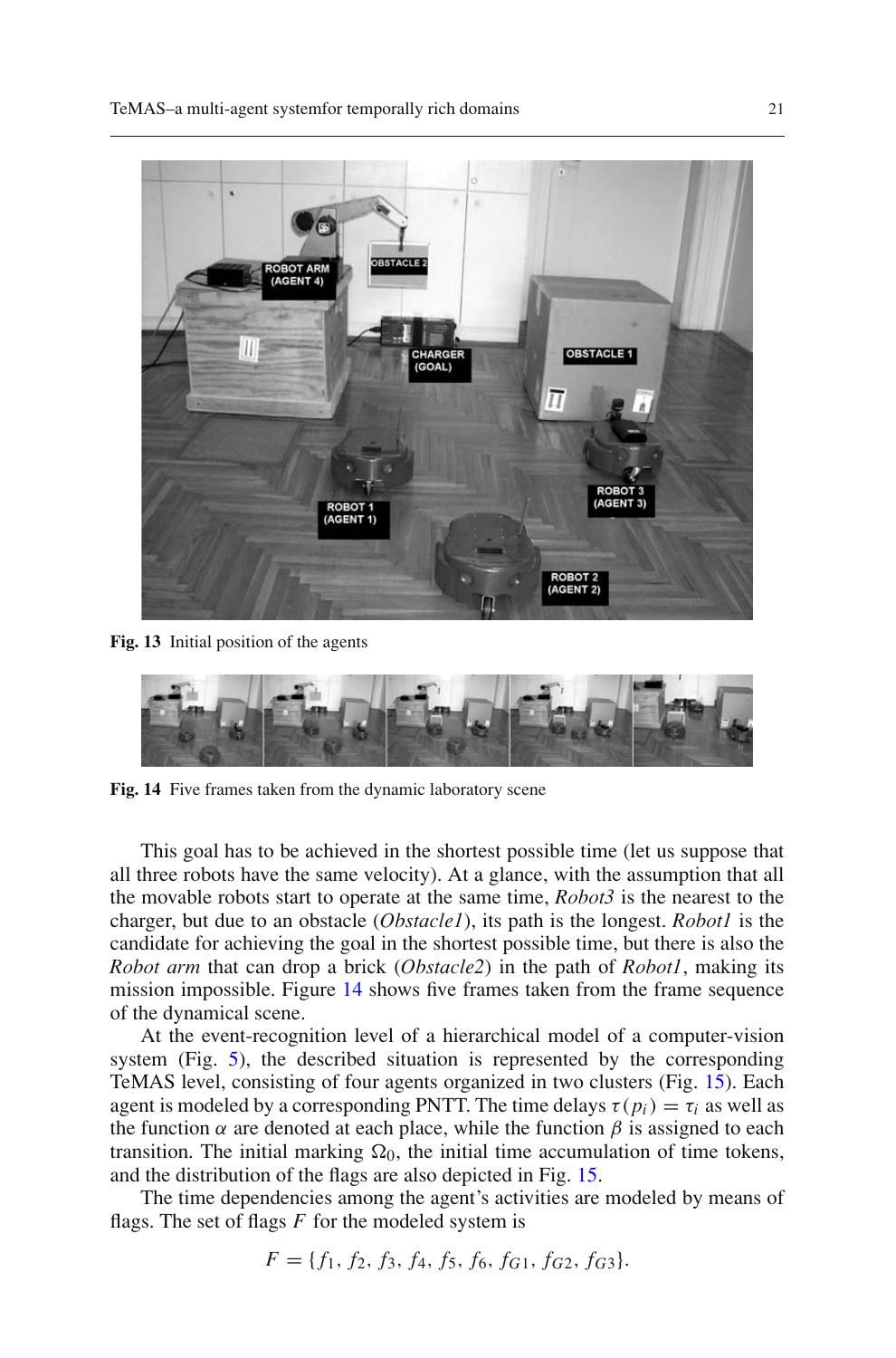

**Fig. 13** Initial position of the agents

<span id="page-20-1"></span><span id="page-20-0"></span>

**Fig. 14** Five frames taken from the dynamic laboratory scene

This goal has to be achieved in the shortest possible time (let us suppose that all three robots have the same velocity). At a glance, with the assumption that all the movable robots start to operate at the same time, *Robot3* is the nearest to the charger, but due to an obstacle (*Obstacle1*), its path is the longest. *Robot1* is the candidate for achieving the goal in the shortest possible time, but there is also the *Robot arm* that can drop a brick (*Obstacle2*) in the path of *Robot1*, making its mission impossible. Figure [14](#page-20-1) shows five frames taken from the frame sequence of the dynamical scene.

At the event-recognition level of a hierarchical model of a computer-vision system (Fig. [5\)](#page-11-0), the described situation is represented by the corresponding TeMAS level, consisting of four agents organized in two clusters (Fig. [15\)](#page-21-0). Each agent is modeled by a corresponding PNTT. The time delays  $\tau(p_i) = \tau_i$  as well as the function  $\alpha$  are denoted at each place, while the function  $\beta$  is assigned to each transition. The initial marking  $\Omega_0$ , the initial time accumulation of time tokens, and the distribution of the flags are also depicted in Fig. [15.](#page-21-0)

The time dependencies among the agent's activities are modeled by means of flags. The set of flags *F* for the modeled system is

$$
F = \{f_1, f_2, f_3, f_4, f_5, f_6, f_{G1}, f_{G2}, f_{G3}\}.
$$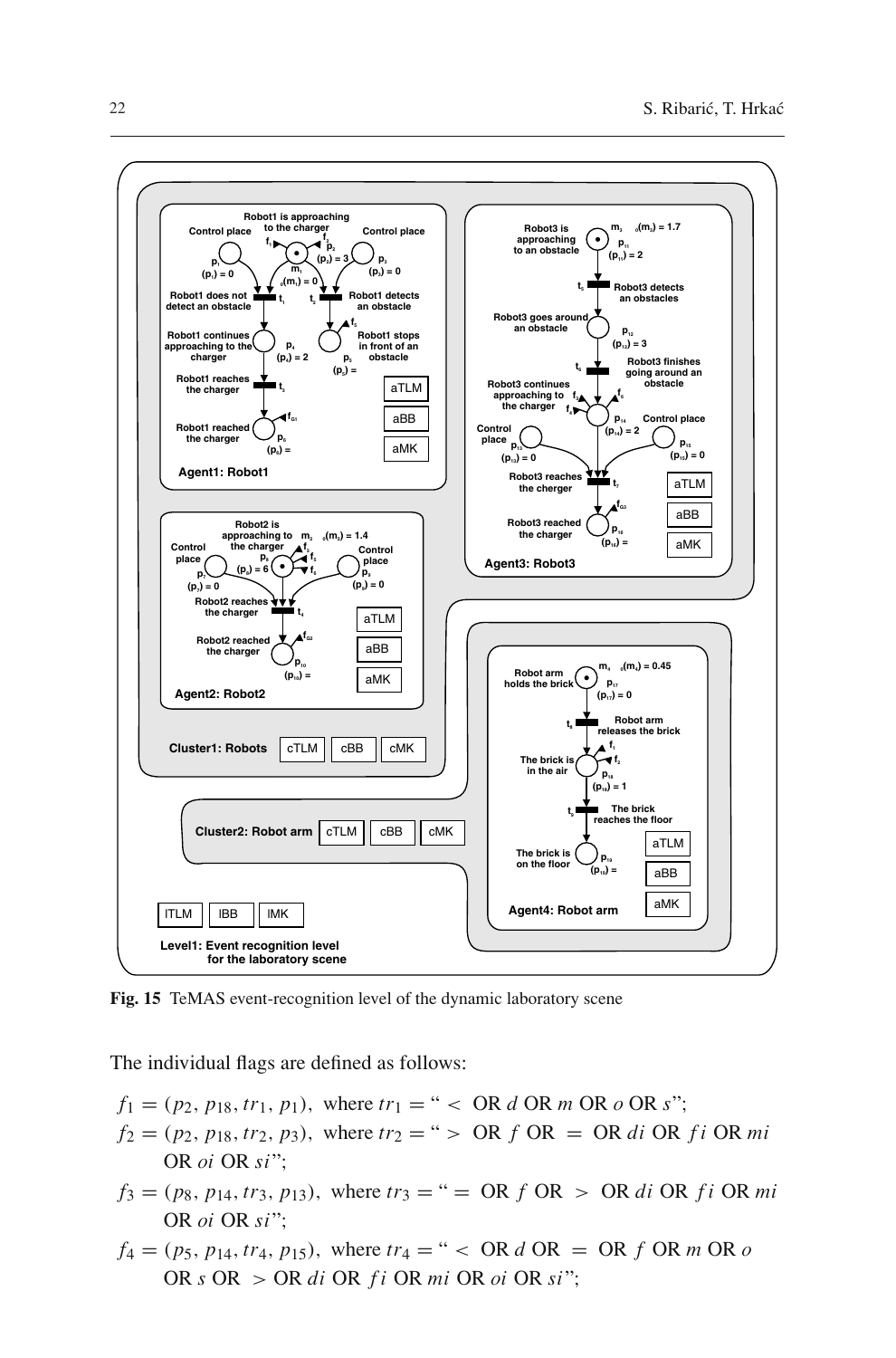

<span id="page-21-0"></span>**Fig. 15** TeMAS event-recognition level of the dynamic laboratory scene

The individual flags are defined as follows:

 $f_1 = (p_2, p_{18}, tr_1, p_1)$ , where  $tr_1 = " < \text{OR } d \text{ OR } m \text{ OR } o \text{ OR } s"$ ;

- $f_2 = (p_2, p_{18}, tr_2, p_3)$ , where  $tr_2 = " > OR f OR = OR di OR fi OR mi$ OR *oi* OR *si*";
- $f_3 = (p_8, p_{14}, tr_3, p_{13})$ , where  $tr_3 = " = OR f OR > OR di OR fi OR mi$ OR *oi* OR *si*";
- $f_4 = (p_5, p_{14}, tr_4, p_{15})$ , where  $tr_4 = " < OR d OR = OR f OR m OR o$ OR  $s$  OR  $>$  OR *di* OR  $fi$  OR  $mi$  OR  $oi$  OR  $si$ ";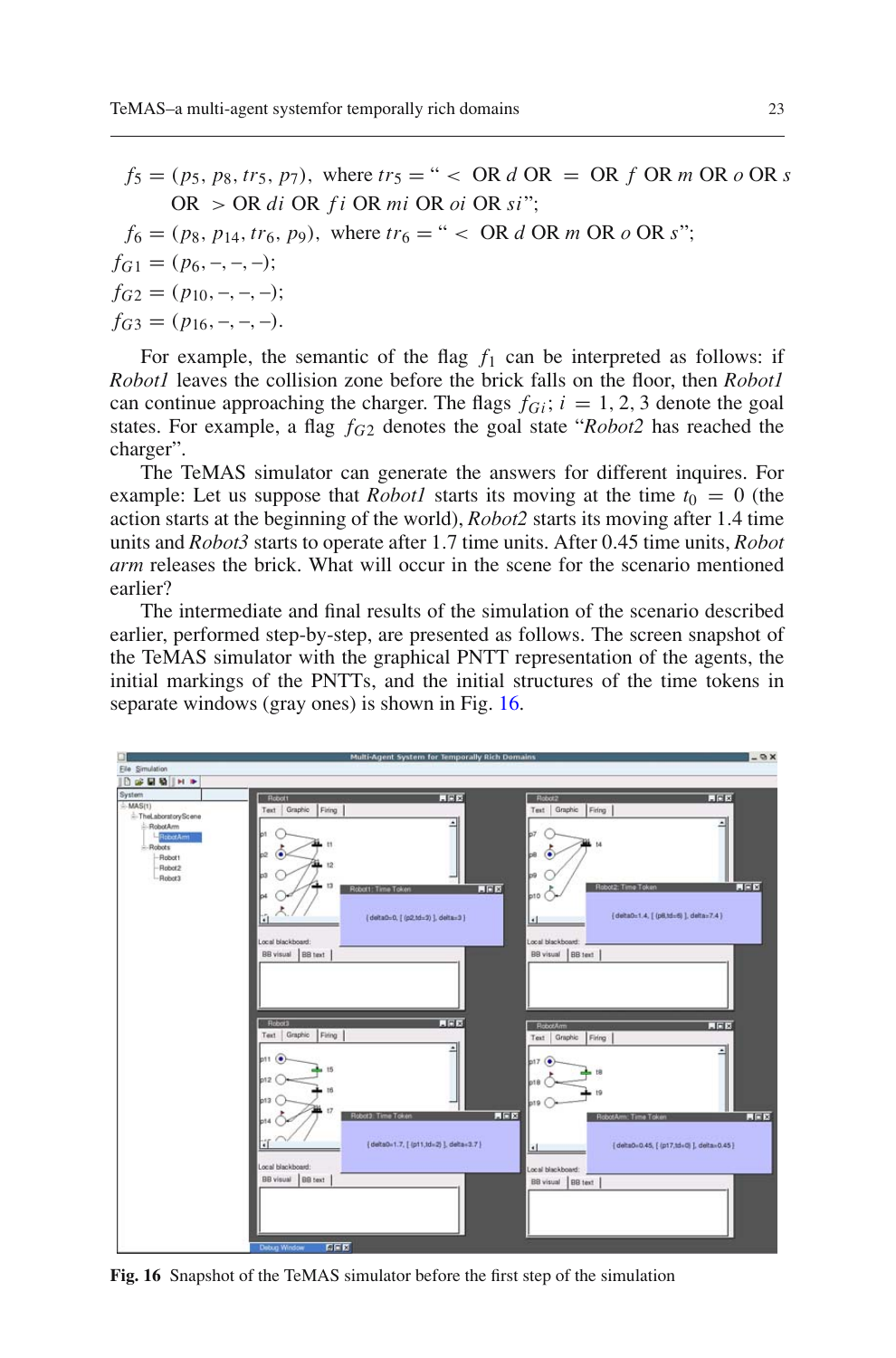$f_5 = (p_5, p_8, tr_5, p_7)$ , where  $tr_5 = " < OR d OR = OR f OR m OR o OR s$ OR > OR *di* OR *f i* OR *mi* OR *oi* OR *si*";  $f_6 = (p_8, p_{14}, tr_6, p_9)$ , where  $tr_6 = " < \text{OR } d \text{ OR } m \text{ OR } o \text{ OR } s"$ ;  $f_{G1} = (p_6, -, -, -)$ ;  $f_{G2} = (p_{10}, -, -, -);$  $f_{G3} = (p_{16}, \text{--}, \text{--}, \text{--}).$ 

For example, the semantic of the flag  $f_1$  can be interpreted as follows: if *Robot1* leaves the collision zone before the brick falls on the floor, then *Robot1* can continue approaching the charger. The flags  $f_{Gi}$ ;  $i = 1, 2, 3$  denote the goal states. For example, a flag  $f_{G2}$  denotes the goal state "*Robot2* has reached the charger".

The TeMAS simulator can generate the answers for different inquires. For example: Let us suppose that *Robot1* starts its moving at the time  $t_0 = 0$  (the action starts at the beginning of the world), *Robot2* starts its moving after 1.4 time units and *Robot3* starts to operate after 1.7 time units. After 0.45 time units, *Robot arm* releases the brick. What will occur in the scene for the scenario mentioned earlier?

The intermediate and final results of the simulation of the scenario described earlier, performed step-by-step, are presented as follows. The screen snapshot of the TeMAS simulator with the graphical PNTT representation of the agents, the initial markings of the PNTTs, and the initial structures of the time tokens in separate windows (gray ones) is shown in Fig. [16.](#page-22-0)



<span id="page-22-0"></span>**Fig. 16** Snapshot of the TeMAS simulator before the first step of the simulation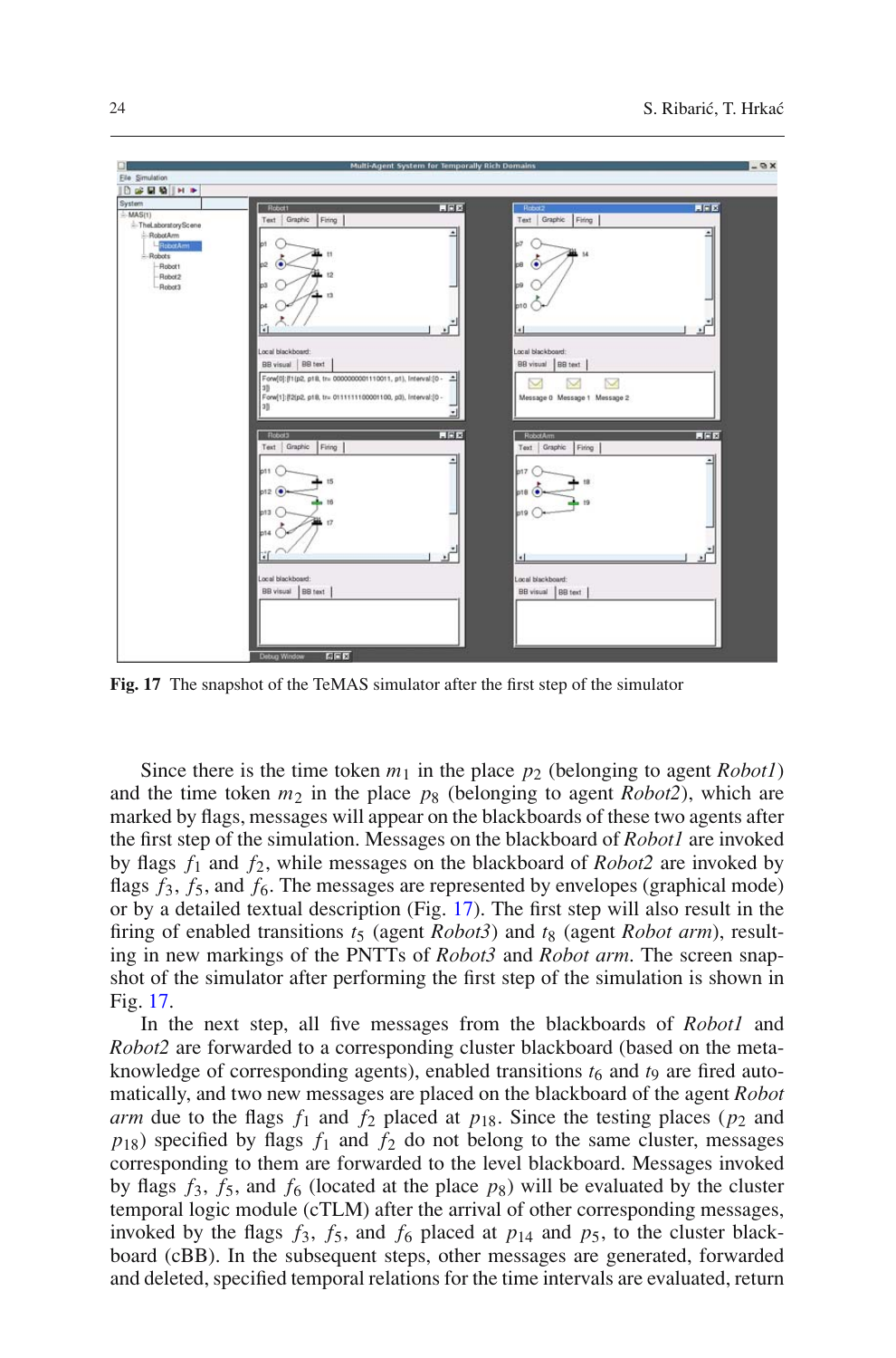

<span id="page-23-0"></span>**Fig. 17** The snapshot of the TeMAS simulator after the first step of the simulator

Since there is the time token  $m_1$  in the place  $p_2$  (belonging to agent *Robot1*) and the time token  $m_2$  in the place  $p_8$  (belonging to agent *Robot2*), which are marked by flags, messages will appear on the blackboards of these two agents after the first step of the simulation. Messages on the blackboard of *Robot1* are invoked by flags *f*<sup>1</sup> and *f*2, while messages on the blackboard of *Robot2* are invoked by flags  $f_3$ ,  $f_5$ , and  $f_6$ . The messages are represented by envelopes (graphical mode) or by a detailed textual description (Fig. [17\)](#page-23-0). The first step will also result in the firing of enabled transitions  $t_5$  (agent *Robot3*) and  $t_8$  (agent *Robot arm*), resulting in new markings of the PNTTs of *Robot3* and *Robot arm*. The screen snapshot of the simulator after performing the first step of the simulation is shown in Fig. [17.](#page-23-0)

In the next step, all five messages from the blackboards of *Robot1* and *Robot2* are forwarded to a corresponding cluster blackboard (based on the metaknowledge of corresponding agents), enabled transitions  $t_6$  and  $t_9$  are fired automatically, and two new messages are placed on the blackboard of the agent *Robot arm* due to the flags  $f_1$  and  $f_2$  placed at  $p_{18}$ . Since the testing places ( $p_2$  and  $p_{18}$ ) specified by flags  $f_1$  and  $f_2$  do not belong to the same cluster, messages corresponding to them are forwarded to the level blackboard. Messages invoked by flags  $f_3$ ,  $f_5$ , and  $f_6$  (located at the place  $p_8$ ) will be evaluated by the cluster temporal logic module (cTLM) after the arrival of other corresponding messages, invoked by the flags  $f_3$ ,  $f_5$ , and  $f_6$  placed at  $p_{14}$  and  $p_5$ , to the cluster blackboard (cBB). In the subsequent steps, other messages are generated, forwarded and deleted, specified temporal relations for the time intervals are evaluated, return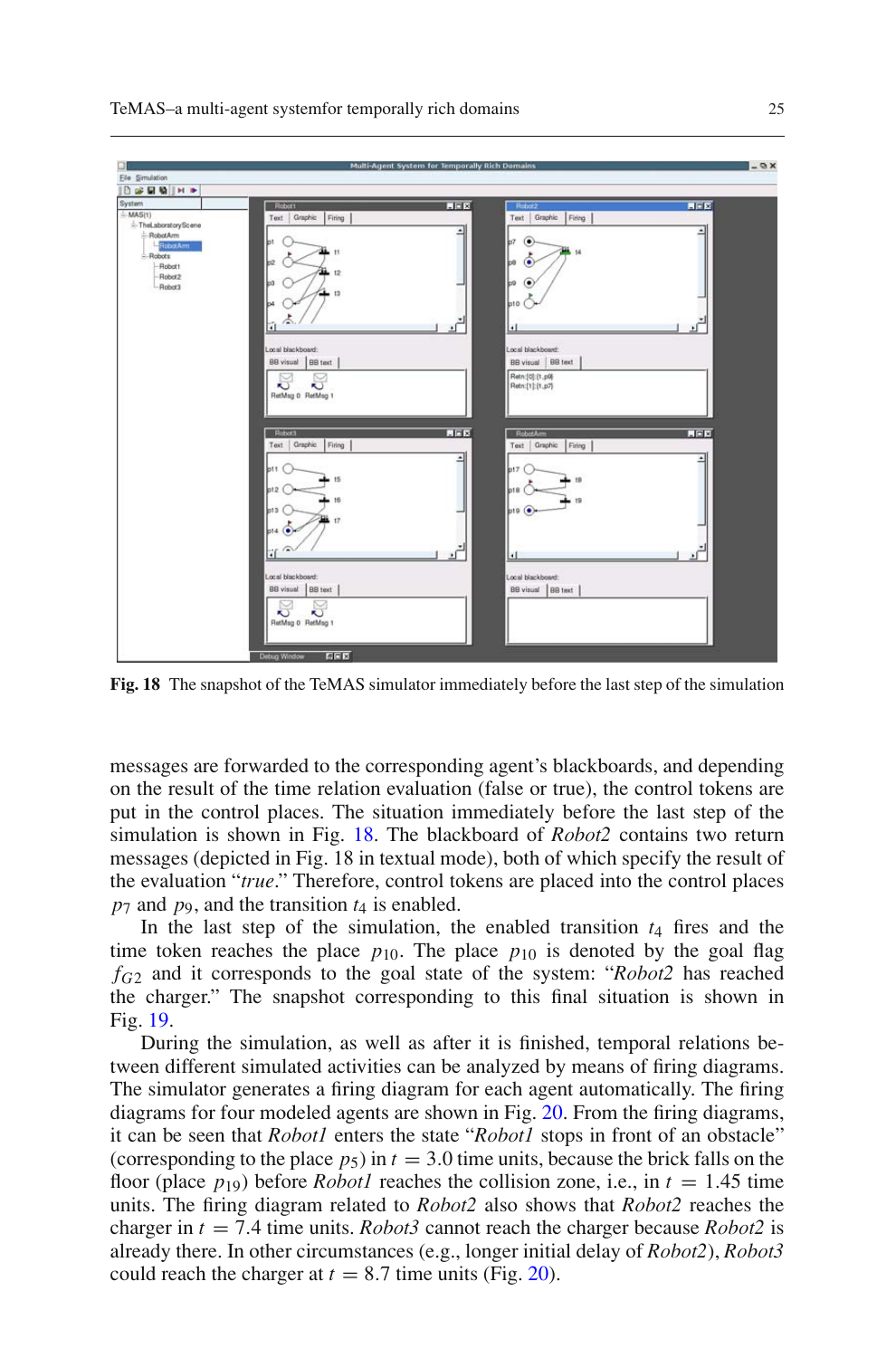

<span id="page-24-0"></span>**Fig. 18** The snapshot of the TeMAS simulator immediately before the last step of the simulation

messages are forwarded to the corresponding agent's blackboards, and depending on the result of the time relation evaluation (false or true), the control tokens are put in the control places. The situation immediately before the last step of the simulation is shown in Fig. [18.](#page-24-0) The blackboard of *Robot2* contains two return messages (depicted in Fig. 18 in textual mode), both of which specify the result of the evaluation "*true*." Therefore, control tokens are placed into the control places  $p_7$  and  $p_9$ , and the transition  $t_4$  is enabled.

In the last step of the simulation, the enabled transition  $t_4$  fires and the time token reaches the place  $p_{10}$ . The place  $p_{10}$  is denoted by the goal flag *fG*<sup>2</sup> and it corresponds to the goal state of the system: "*Robot2* has reached the charger." The snapshot corresponding to this final situation is shown in Fig. [19.](#page-25-0)

During the simulation, as well as after it is finished, temporal relations between different simulated activities can be analyzed by means of firing diagrams. The simulator generates a firing diagram for each agent automatically. The firing diagrams for four modeled agents are shown in Fig. [20.](#page-25-1) From the firing diagrams, it can be seen that *Robot1* enters the state "*Robot1* stops in front of an obstacle" (corresponding to the place  $p_5$ ) in  $t = 3.0$  time units, because the brick falls on the floor (place  $p_{19}$ ) before *Robot1* reaches the collision zone, i.e., in  $t = 1.45$  time units. The firing diagram related to *Robot2* also shows that *Robot2* reaches the charger in  $t = 7.4$  time units. *Robot3* cannot reach the charger because *Robot2* is already there. In other circumstances (e.g., longer initial delay of *Robot2*), *Robot3* could reach the charger at  $t = 8.7$  time units (Fig. [20\)](#page-25-1).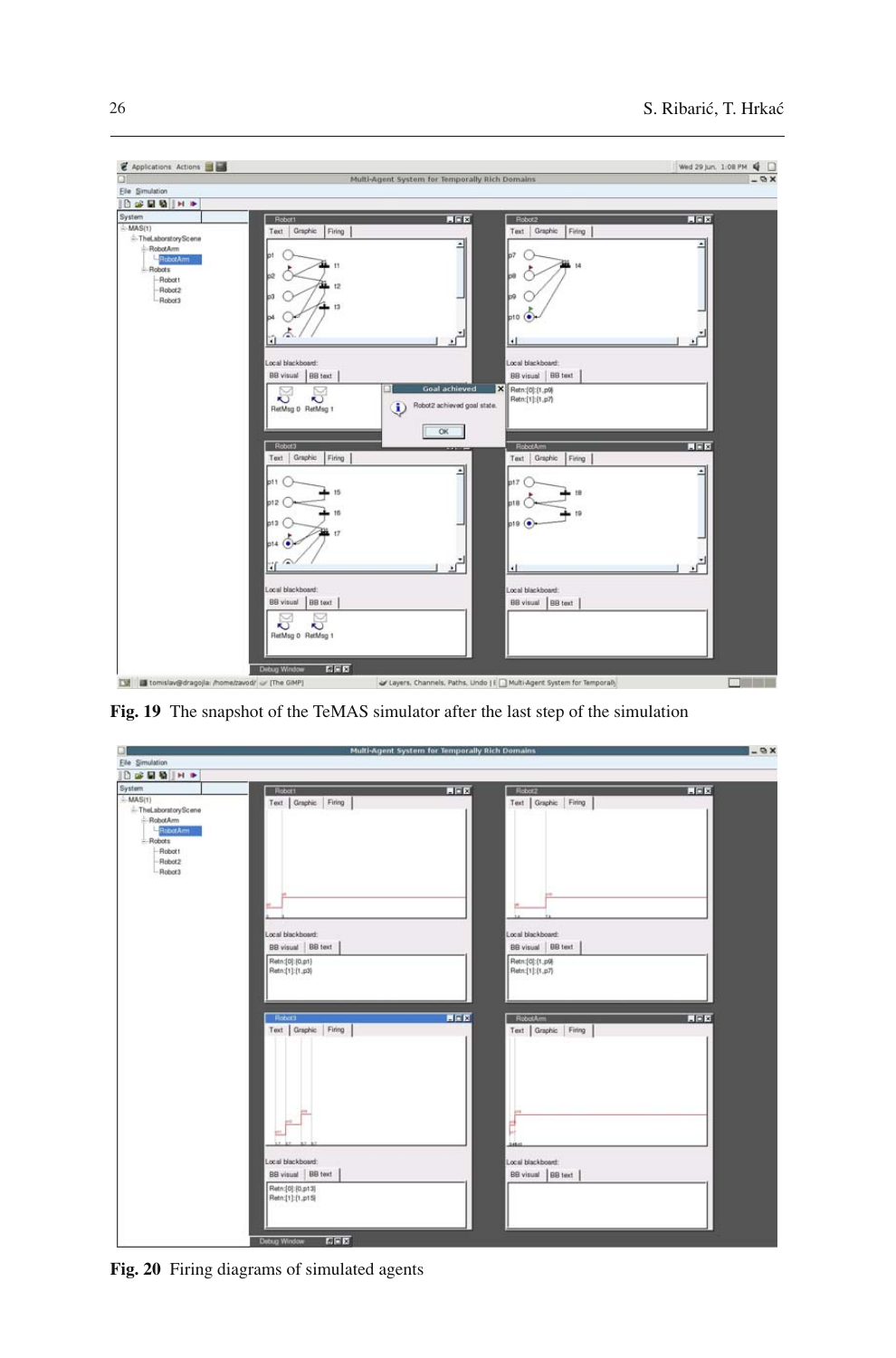

**Fig. 19** The snapshot of the TeMAS simulator after the last step of the simulation

<span id="page-25-0"></span>

<span id="page-25-1"></span>**Fig. 20** Firing diagrams of simulated agents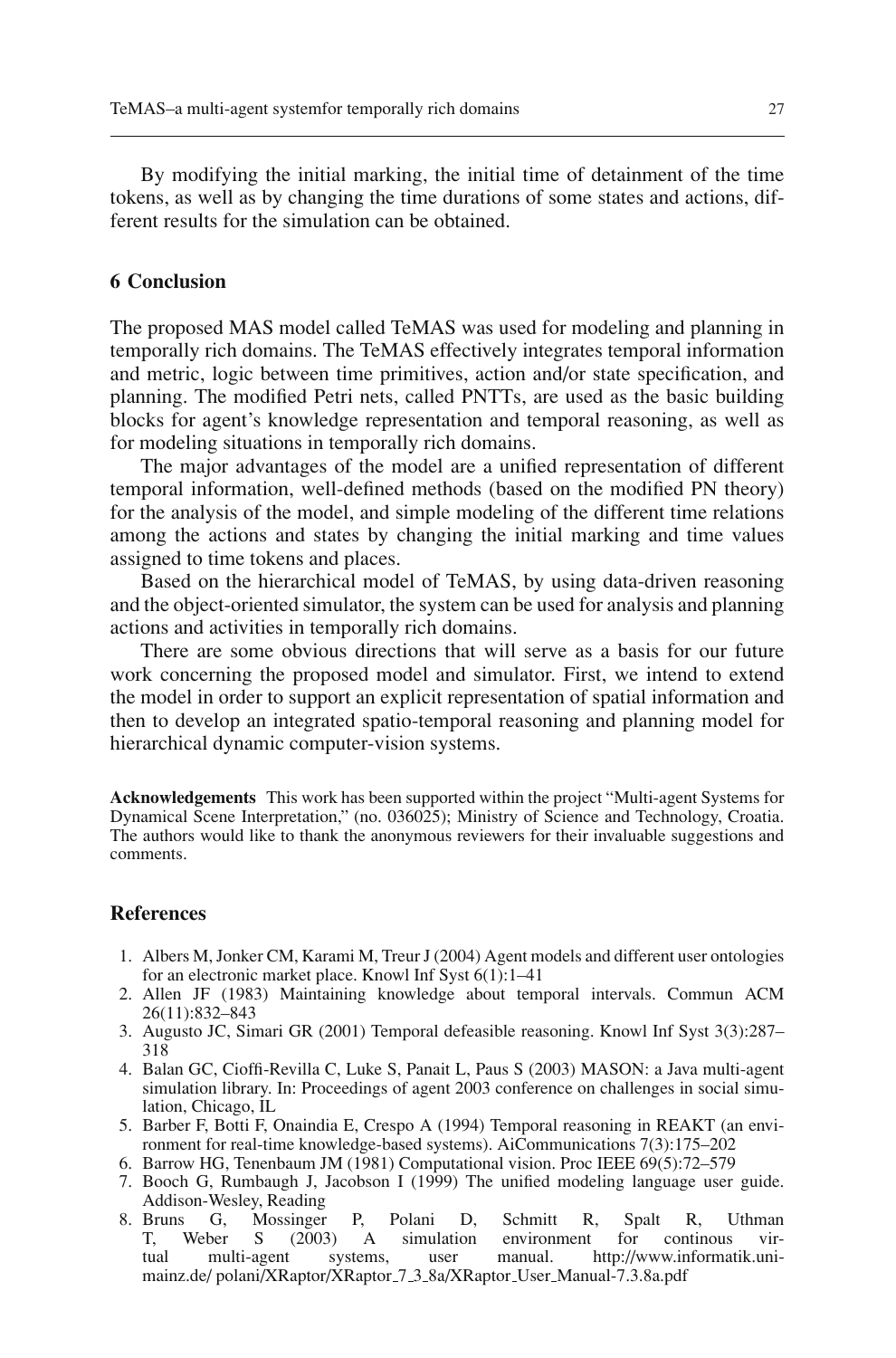By modifying the initial marking, the initial time of detainment of the time tokens, as well as by changing the time durations of some states and actions, different results for the simulation can be obtained.

#### **6 Conclusion**

The proposed MAS model called TeMAS was used for modeling and planning in temporally rich domains. The TeMAS effectively integrates temporal information and metric, logic between time primitives, action and/or state specification, and planning. The modified Petri nets, called PNTTs, are used as the basic building blocks for agent's knowledge representation and temporal reasoning, as well as for modeling situations in temporally rich domains.

The major advantages of the model are a unified representation of different temporal information, well-defined methods (based on the modified PN theory) for the analysis of the model, and simple modeling of the different time relations among the actions and states by changing the initial marking and time values assigned to time tokens and places.

Based on the hierarchical model of TeMAS, by using data-driven reasoning and the object-oriented simulator, the system can be used for analysis and planning actions and activities in temporally rich domains.

There are some obvious directions that will serve as a basis for our future work concerning the proposed model and simulator. First, we intend to extend the model in order to support an explicit representation of spatial information and then to develop an integrated spatio-temporal reasoning and planning model for hierarchical dynamic computer-vision systems.

**Acknowledgements** This work has been supported within the project "Multi-agent Systems for Dynamical Scene Interpretation," (no. 036025); Ministry of Science and Technology, Croatia. The authors would like to thank the anonymous reviewers for their invaluable suggestions and comments.

#### <span id="page-26-0"></span>**References**

- 1. Albers M, Jonker CM, Karami M, Treur J (2004) Agent models and different user ontologies for an electronic market place. Knowl Inf Syst 6(1):1–41
- <span id="page-26-1"></span>2. Allen JF (1983) Maintaining knowledge about temporal intervals. Commun ACM 26(11):832–843
- <span id="page-26-2"></span>3. Augusto JC, Simari GR (2001) Temporal defeasible reasoning. Knowl Inf Syst 3(3):287– 318
- <span id="page-26-3"></span>4. Balan GC, Cioffi-Revilla C, Luke S, Panait L, Paus S (2003) MASON: a Java multi-agent simulation library. In: Proceedings of agent 2003 conference on challenges in social simulation, Chicago, IL
- <span id="page-26-5"></span>5. Barber F, Botti F, Onaindia E, Crespo A (1994) Temporal reasoning in REAKT (an environment for real-time knowledge-based systems). AiCommunications 7(3):175–202
- <span id="page-26-6"></span>6. Barrow HG, Tenenbaum JM (1981) Computational vision. Proc IEEE 69(5):72–579
- <span id="page-26-7"></span>7. Booch G, Rumbaugh J, Jacobson I (1999) The unified modeling language user guide. Addison-Wesley, Reading
- <span id="page-26-4"></span>8. Bruns G, Mossinger P, Polani D, Schmitt R, Spalt R, Uthman T. Weber S (2003) A simulation environment for continuous vir-S (2003) A simulation environment for continous virtual multi-agent systems, user manual. http://www.informatik.unimainz.de/ polani/XRaptor/XRaptor 7 3 8a/XRaptor User Manual-7.3.8a.pdf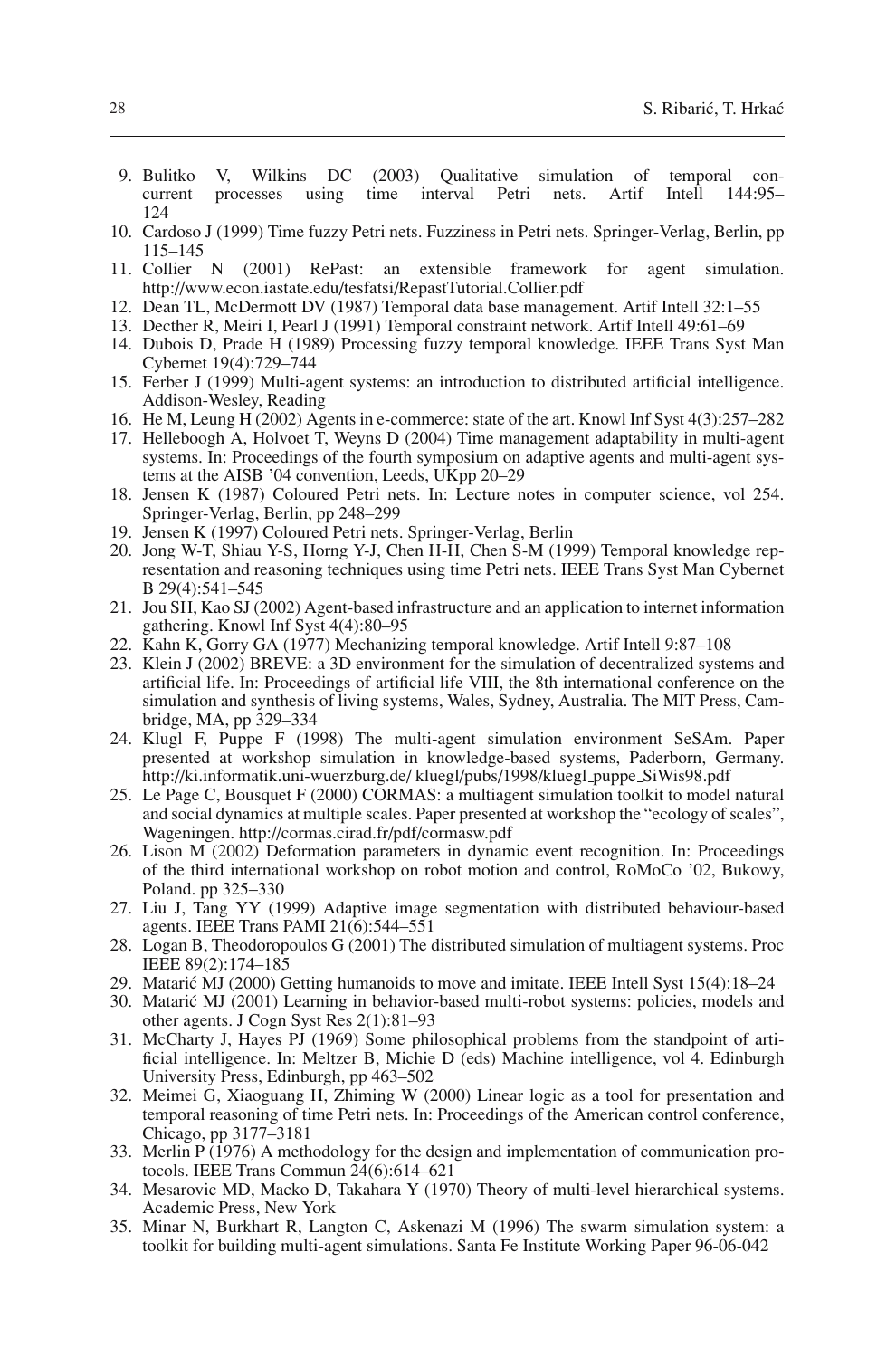- <span id="page-27-10"></span>9. Bulitko V, Wilkins DC (2003) Qualitative simulation of temporal coninterval Petri nets. 124
- <span id="page-27-25"></span>10. Cardoso J (1999) Time fuzzy Petri nets. Fuzziness in Petri nets. Springer-Verlag, Berlin, pp 115–145
- <span id="page-27-18"></span>11. Collier N (2001) RePast: an extensible framework for agent simulation. http://www.econ.iastate.edu/tesfatsi/RepastTutorial.Collier.pdf
- <span id="page-27-8"></span>12. Dean TL, McDermott DV (1987) Temporal data base management. Artif Intell 32:1–55
- <span id="page-27-9"></span>13. Decther R, Meiri I, Pearl J (1991) Temporal constraint network. Artif Intell 49:61–69
- <span id="page-27-24"></span>14. Dubois D, Prade H (1989) Processing fuzzy temporal knowledge. IEEE Trans Syst Man Cybernet 19(4):729–744
- <span id="page-27-5"></span>15. Ferber J (1999) Multi-agent systems: an introduction to distributed artificial intelligence. Addison-Wesley, Reading
- <span id="page-27-4"></span>16. He M, Leung H (2002) Agents in e-commerce: state of the art. Knowl Inf Syst 4(3):257–282
- <span id="page-27-16"></span>17. Helleboogh A, Holvoet T, Weyns D (2004) Time management adaptability in multi-agent systems. In: Proceedings of the fourth symposium on adaptive agents and multi-agent systems at the AISB '04 convention, Leeds, UKpp 20–29
- <span id="page-27-22"></span>18. Jensen K (1987) Coloured Petri nets. In: Lecture notes in computer science, vol 254. Springer-Verlag, Berlin, pp 248–299
- 19. Jensen K (1997) Coloured Petri nets. Springer-Verlag, Berlin
- <span id="page-27-23"></span><span id="page-27-11"></span>20. Jong W-T, Shiau Y-S, Horng Y-J, Chen H-H, Chen S-M (1999) Temporal knowledge representation and reasoning techniques using time Petri nets. IEEE Trans Syst Man Cybernet B 29(4):541–545
- <span id="page-27-3"></span>21. Jou SH, Kao SJ (2002) Agent-based infrastructure and an application to internet information gathering. Knowl Inf Syst 4(4):80–95
- <span id="page-27-7"></span>22. Kahn K, Gorry GA (1977) Mechanizing temporal knowledge. Artif Intell 9:87–108
- <span id="page-27-21"></span>23. Klein J (2002) BREVE: a 3D environment for the simulation of decentralized systems and artificial life. In: Proceedings of artificial life VIII, the 8th international conference on the simulation and synthesis of living systems, Wales, Sydney, Australia. The MIT Press, Cambridge, MA, pp 329–334
- <span id="page-27-19"></span>24. Klugl F, Puppe F (1998) The multi-agent simulation environment SeSAm. Paper presented at workshop simulation in knowledge-based systems, Paderborn, Germany. http://ki.informatik.uni-wuerzburg.de/ kluegl/pubs/1998/kluegl\_puppe\_SiWis98.pdf
- <span id="page-27-20"></span>25. Le Page C, Bousquet F (2000) CORMAS: a multiagent simulation toolkit to model natural and social dynamics at multiple scales. Paper presented at workshop the "ecology of scales", Wageningen. http://cormas.cirad.fr/pdf/cormasw.pdf
- <span id="page-27-14"></span>26. Lison M (2002) Deformation parameters in dynamic event recognition. In: Proceedings of the third international workshop on robot motion and control, RoMoCo '02, Bukowy, Poland. pp 325–330
- <span id="page-27-1"></span>27. Liu J, Tang YY (1999) Adaptive image segmentation with distributed behaviour-based agents. IEEE Trans PAMI 21(6):544–551
- <span id="page-27-15"></span>28. Logan B, Theodoropoulos G (2001) The distributed simulation of multiagent systems. Proc IEEE 89(2):174–185
- <span id="page-27-0"></span>29. Mataric MJ (2000) Getting humanoids to move and imitate. IEEE Intell Syst 15(4):18–24 ´
- <span id="page-27-2"></span>30. Mataric MJ (2001) Learning in behavior-based multi-robot systems: policies, models and ´ other agents. J Cogn Syst Res 2(1):81–93
- <span id="page-27-6"></span>31. McCharty J, Hayes PJ (1969) Some philosophical problems from the standpoint of artificial intelligence. In: Meltzer B, Michie D (eds) Machine intelligence, vol 4. Edinburgh University Press, Edinburgh, pp 463–502
- <span id="page-27-12"></span>32. Meimei G, Xiaoguang H, Zhiming W (2000) Linear logic as a tool for presentation and temporal reasoning of time Petri nets. In: Proceedings of the American control conference, Chicago, pp 3177–3181
- <span id="page-27-13"></span>33. Merlin P (1976) A methodology for the design and implementation of communication protocols. IEEE Trans Commun 24(6):614–621
- <span id="page-27-26"></span>34. Mesarovic MD, Macko D, Takahara Y (1970) Theory of multi-level hierarchical systems. Academic Press, New York
- <span id="page-27-17"></span>35. Minar N, Burkhart R, Langton C, Askenazi M (1996) The swarm simulation system: a toolkit for building multi-agent simulations. Santa Fe Institute Working Paper 96-06-042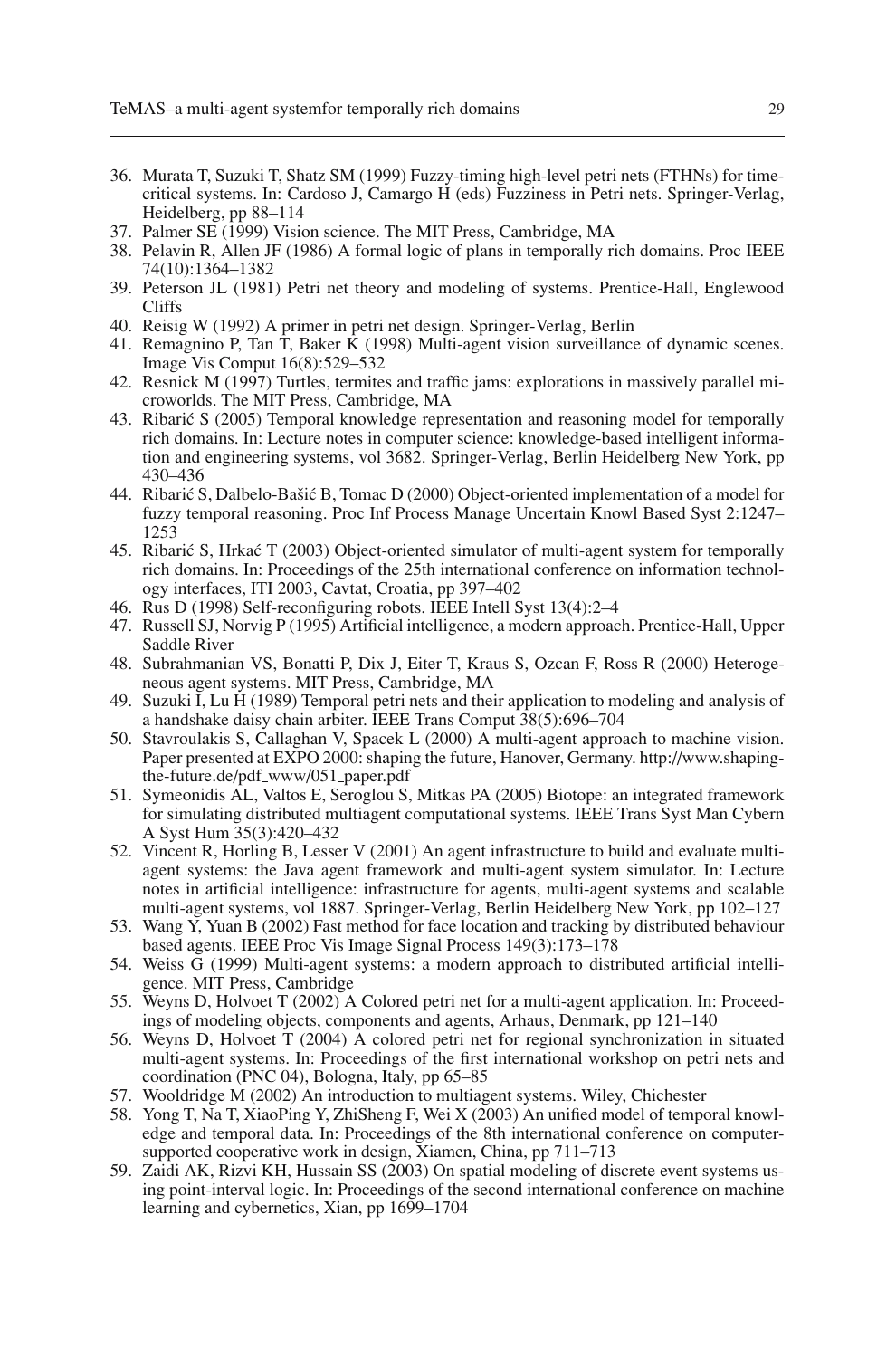- <span id="page-28-9"></span>36. Murata T, Suzuki T, Shatz SM (1999) Fuzzy-timing high-level petri nets (FTHNs) for timecritical systems. In: Cardoso J, Camargo H (eds) Fuzziness in Petri nets. Springer-Verlag, Heidelberg, pp 88–114
- <span id="page-28-21"></span>37. Palmer SE (1999) Vision science. The MIT Press, Cambridge, MA
- <span id="page-28-7"></span>38. Pelavin R, Allen JF (1986) A formal logic of plans in temporally rich domains. Proc IEEE 74(10):1364–1382
- <span id="page-28-18"></span>39. Peterson JL (1981) Petri net theory and modeling of systems. Prentice-Hall, Englewood Cliffs
- 40. Reisig W (1992) A primer in petri net design. Springer-Verlag, Berlin
- <span id="page-28-19"></span><span id="page-28-0"></span>41. Remagnino P, Tan T, Baker K (1998) Multi-agent vision surveillance of dynamic scenes. Image Vis Comput 16(8):529–532
- <span id="page-28-14"></span>42. Resnick M (1997) Turtles, termites and traffic jams: explorations in massively parallel microworlds. The MIT Press, Cambridge, MA
- <span id="page-28-17"></span>43. Ribaric S (2005) Temporal knowledge representation and reasoning model for temporally ´ rich domains. In: Lecture notes in computer science: knowledge-based intelligent information and engineering systems, vol 3682. Springer-Verlag, Berlin Heidelberg New York, pp 430–436
- <span id="page-28-20"></span>44. Ribaric S, Dalbelo-Bašic B, Tomac D (2000) Object-oriented implementation of a model for fuzzy temporal reasoning. Proc Inf Process Manage Uncertain Knowl Based Syst 2:1247– 1253
- <span id="page-28-23"></span>45. Ribarić S, Hrkać  $T(2003)$  Object-oriented simulator of multi-agent system for temporally rich domains. In: Proceedings of the 25th international conference on information technology interfaces, ITI 2003, Cavtat, Croatia, pp 397–402
- <span id="page-28-2"></span>46. Rus D (1998) Self-reconfiguring robots. IEEE Intell Syst 13(4):2–4
- <span id="page-28-4"></span>47. Russell SJ, Norvig P (1995) Artificial intelligence, a modern approach. Prentice-Hall, Upper Saddle River
- <span id="page-28-3"></span>48. Subrahmanian VS, Bonatti P, Dix J, Eiter T, Kraus S, Ozcan F, Ross R (2000) Heterogeneous agent systems. MIT Press, Cambridge, MA
- <span id="page-28-8"></span>49. Suzuki I, Lu H (1989) Temporal petri nets and their application to modeling and analysis of a handshake daisy chain arbiter. IEEE Trans Comput 38(5):696–704
- <span id="page-28-1"></span>50. Stavroulakis S, Callaghan V, Spacek L (2000) A multi-agent approach to machine vision. Paper presented at EXPO 2000: shaping the future, Hanover, Germany. http://www.shapingthe-future.de/pdf\_www/051\_paper.pdf
- <span id="page-28-12"></span>51. Symeonidis AL, Valtos E, Seroglou S, Mitkas PA (2005) Biotope: an integrated framework for simulating distributed multiagent computational systems. IEEE Trans Syst Man Cybern A Syst Hum 35(3):420–432
- <span id="page-28-13"></span>52. Vincent R, Horling B, Lesser V (2001) An agent infrastructure to build and evaluate multiagent systems: the Java agent framework and multi-agent system simulator. In: Lecture notes in artificial intelligence: infrastructure for agents, multi-agent systems and scalable multi-agent systems, vol 1887. Springer-Verlag, Berlin Heidelberg New York, pp 102–127
- <span id="page-28-22"></span>53. Wang Y, Yuan B (2002) Fast method for face location and tracking by distributed behaviour based agents. IEEE Proc Vis Image Signal Process 149(3):173–178
- <span id="page-28-5"></span>54. Weiss G (1999) Multi-agent systems: a modern approach to distributed artificial intelligence. MIT Press, Cambridge
- <span id="page-28-15"></span>55. Weyns D, Holvoet T (2002) A Colored petri net for a multi-agent application. In: Proceedings of modeling objects, components and agents, Arhaus, Denmark, pp 121–140
- <span id="page-28-16"></span>56. Weyns D, Holvoet T (2004) A colored petri net for regional synchronization in situated multi-agent systems. In: Proceedings of the first international workshop on petri nets and coordination (PNC 04), Bologna, Italy, pp 65–85
- <span id="page-28-6"></span>57. Wooldridge M (2002) An introduction to multiagent systems. Wiley, Chichester
- <span id="page-28-11"></span>58. Yong T, Na T, XiaoPing Y, ZhiSheng F, Wei X (2003) An unified model of temporal knowledge and temporal data. In: Proceedings of the 8th international conference on computersupported cooperative work in design, Xiamen, China, pp 711–713
- <span id="page-28-10"></span>59. Zaidi AK, Rizvi KH, Hussain SS (2003) On spatial modeling of discrete event systems using point-interval logic. In: Proceedings of the second international conference on machine learning and cybernetics, Xian, pp 1699–1704